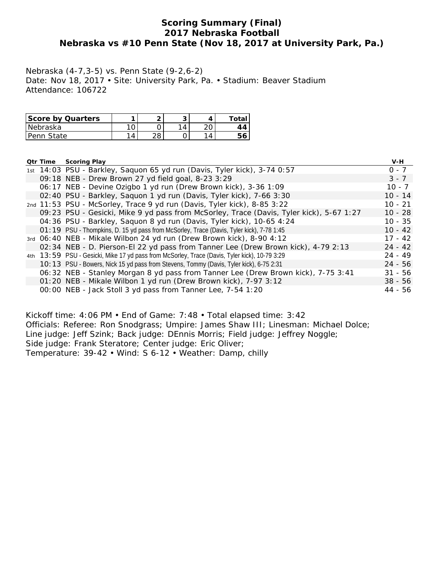## **Scoring Summary (Final) 2017 Nebraska Football Nebraska vs #10 Penn State (Nov 18, 2017 at University Park, Pa.)**

Nebraska (4-7,3-5) vs. Penn State (9-2,6-2) Date: Nov 18, 2017 • Site: University Park, Pa. • Stadium: Beaver Stadium Attendance: 106722

| Score by Quarters |   | ◚   | u                           | ™otaı |
|-------------------|---|-----|-----------------------------|-------|
| Nebraska          |   |     | $\boldsymbol{\vartriangle}$ | 14    |
| Penn State        | 4 | ס ו |                             |       |

| <b>Otr Time</b> | <b>Scoring Play</b>                                                                           | V-H       |
|-----------------|-----------------------------------------------------------------------------------------------|-----------|
|                 | 1st 14:03 PSU - Barkley, Saquon 65 yd run (Davis, Tyler kick), 3-74 0:57                      | $0 - 7$   |
|                 | 09:18 NEB - Drew Brown 27 yd field goal, 8-23 3:29                                            | $3 - 7$   |
|                 | 06:17 NEB - Devine Ozigbo 1 yd run (Drew Brown kick), 3-36 1:09                               | $10 - 7$  |
|                 | 02:40 PSU - Barkley, Saquon 1 yd run (Davis, Tyler kick), 7-66 3:30                           | $10 - 14$ |
|                 | 2nd 11:53 PSU - McSorley, Trace 9 yd run (Davis, Tyler kick), 8-85 3:22                       | $10 - 21$ |
|                 | 09:23 PSU - Gesicki, Mike 9 yd pass from McSorley, Trace (Davis, Tyler kick), 5-67 1:27       | $10 - 28$ |
|                 | 04:36 PSU - Barkley, Saquon 8 yd run (Davis, Tyler kick), 10-65 4:24                          | $10 - 35$ |
|                 | O1:19 PSU - Thompkins, D. 15 yd pass from McSorley, Trace (Davis, Tyler kick), 7-78 1:45      | $10 - 42$ |
|                 | 3rd 06:40 NEB - Mikale Wilbon 24 yd run (Drew Brown kick), 8-90 4:12                          | $17 - 42$ |
|                 | 02:34 NEB - D. Pierson-El 22 yd pass from Tanner Lee (Drew Brown kick), 4-79 2:13             | $24 - 42$ |
|                 | 4th 13:59 PSU - Gesicki, Mike 17 yd pass from McSorley, Trace (Davis, Tyler kick), 10-79 3:29 | $24 - 49$ |
|                 | 10: 13 PSU - Bowers, Nick 15 yd pass from Stevens, Tommy (Davis, Tyler kick), 6-75 2:31       | $24 - 56$ |
|                 | 06:32 NEB - Stanley Morgan 8 yd pass from Tanner Lee (Drew Brown kick), 7-75 3:41             | $31 - 56$ |
|                 | 01:20 NEB - Mikale Wilbon 1 yd run (Drew Brown kick), 7-97 3:12                               | $38 - 56$ |
|                 | 00:00 NEB - Jack Stoll 3 yd pass from Tanner Lee, 7-54 1:20                                   | 44 - 56   |

Kickoff time: 4:06 PM • End of Game: 7:48 • Total elapsed time: 3:42 Officials: Referee: Ron Snodgrass; Umpire: James Shaw III; Linesman: Michael Dolce; Line judge: Jeff Szink; Back judge: DEnnis Morris; Field judge: Jeffrey Noggle; Side judge: Frank Steratore; Center judge: Eric Oliver; Temperature: 39-42 • Wind: S 6-12 • Weather: Damp, chilly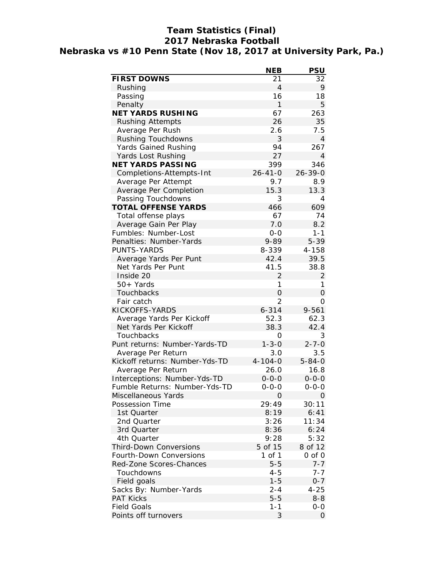## **Team Statistics (Final) 2017 Nebraska Football Nebraska vs #10 Penn State (Nov 18, 2017 at University Park, Pa.)**

|                                        | <b>NEB</b>       | <b>PSU</b>     |
|----------------------------------------|------------------|----------------|
| <b>FIRST DOWNS</b>                     | 21               | 32             |
| Rushing                                | 4                | 9              |
| Passing                                | 16               | 18             |
| Penalty                                | $\mathbf{1}$     | 5              |
| <b>NET YARDS RUSHING</b>               | 67               | 263            |
| <b>Rushing Attempts</b>                | 26               | 35             |
| Average Per Rush                       | 2.6              | 7.5            |
| <b>Rushing Touchdowns</b>              | 3                | $\overline{4}$ |
| Yards Gained Rushing                   | 94               | 267            |
| Yards Lost Rushing                     | 27               | 4              |
| <b>NET YARDS PASSING</b>               | 399              | 346            |
| Completions-Attempts-Int               | $26 - 41 - 0$    | $26 - 39 - 0$  |
| Average Per Attempt                    | 9.7              | 8.9            |
| Average Per Completion                 | 15.3             | 13.3           |
| Passing Touchdowns                     | 3                | 4              |
| <b>TOTAL OFFENSE YARDS</b>             | 466              | 609            |
| Total offense plays                    | 67               | 74             |
| Average Gain Per Play                  | 7.0              | 8.2            |
| Fumbles: Number-Lost                   | $0 - 0$          | $1 - 1$        |
| Penalties: Number-Yards                | 9-89             | $5 - 39$       |
| <b>PUNTS-YARDS</b>                     | 8-339            | 4-158          |
| Average Yards Per Punt                 | 42.4             | 39.5           |
| Net Yards Per Punt                     | 41.5             | 38.8           |
| Inside 20                              | 2                | $\overline{2}$ |
| $50+Yards$                             | 1                | 1              |
| Touchbacks                             | 0                | 0              |
| Fair catch                             | 2                | 0              |
| KICKOFFS-YARDS                         | $6 - 314$        | $9 - 561$      |
| Average Yards Per Kickoff              | 52.3             | 62.3           |
| Net Yards Per Kickoff                  | 38.3             | 42.4           |
| Touchbacks                             | 0                | 3              |
| Punt returns: Number-Yards-TD          | $1 - 3 - 0$      | $2 - 7 - 0$    |
| Average Per Return                     | 3.0              | 3.5            |
| Kickoff returns: Number-Yds-TD         | $4 - 104 - 0$    | $5 - 84 - 0$   |
| Average Per Return                     | 26.0             | 16.8           |
| Interceptions: Number-Yds-TD           | $0 - 0 - 0$      | $0 - 0 - 0$    |
| Fumble Returns: Number-Yds-TD          | $0 - 0 - 0$<br>0 | $0 - 0 - 0$    |
| Miscellaneous Yards<br>Possession Time | 29:49            | 0<br>30:11     |
| 1st Quarter                            | 8:19             | 6:41           |
| 2nd Quarter                            | 3:26             | 11:34          |
| 3rd Quarter                            | 8:36             | 6:24           |
| 4th Quarter                            | 9:28             | 5:32           |
| <b>Third-Down Conversions</b>          | 5 of 15          | 8 of 12        |
| Fourth-Down Conversions                | 1 of 1           | 0 of 0         |
| Red-Zone Scores-Chances                | $5 - 5$          | $7 - 7$        |
| Touchdowns                             | $4 - 5$          | $7 - 7$        |
| Field goals                            | $1 - 5$          | $0 - 7$        |
| Sacks By: Number-Yards                 | $2 - 4$          | $4 - 25$       |
| <b>PAT Kicks</b>                       | $5 - 5$          | $8 - 8$        |
| <b>Field Goals</b>                     | 1-1              | 0-0            |
| Points off turnovers                   | 3                | 0              |
|                                        |                  |                |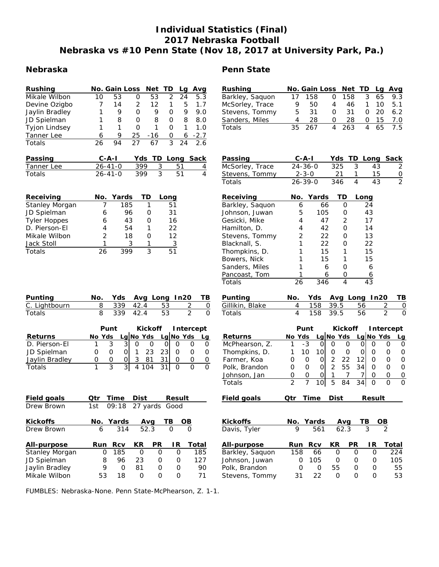## **Individual Statistics (Final) 2017 Nebraska Football Nebraska vs #10 Penn State (Nov 18, 2017 at University Park, Pa.)**

### **Nebraska**

| <b>Rushing</b>       |    | No. Gain Loss Net TD |    |     |                   | Lg | Avg    |
|----------------------|----|----------------------|----|-----|-------------------|----|--------|
| Mikale Wilbon        | 10 | 53                   | Ο  | 53  | $\mathcal{P}$     | 24 | 5.3    |
| Devine Ozigbo        |    | 14                   | 2  | 12  | 1                 | 5  | 1.7    |
| Jaylin Bradley       |    | 9                    | Ω  | 9   | Ω                 | 9  | 9.O    |
| JD Spielman          |    | 8                    | Ω  | 8   | Ω                 | 8  | 8.0    |
| <b>Tyjon Lindsey</b> |    |                      | Ω  |     | $\mathbf{\Omega}$ |    | 1.0    |
| Tanner Lee           | 6  | 9                    | 25 | -16 | 0                 | 6  | $-2.7$ |
| Totals               | 26 | 94                   | 27 | 67  | ੨                 | 24 | 26     |

| Passing       | $C - A - I$   |      | Yds TD Long Sack |   |
|---------------|---------------|------|------------------|---|
| Tanner Lee    | 26-41-0       | 399  | $-51$            | 4 |
| <b>Totals</b> | $26 - 41 - 0$ | 399. | 51               | 4 |

| Receiving             |    | No. Yards | TD | Long |
|-----------------------|----|-----------|----|------|
| <b>Stanley Morgan</b> |    | 185       |    | 51   |
| JD Spielman           | 6  | 96        |    | 31   |
| <b>Tyler Hoppes</b>   | 6  | 43        | Ω  | 16   |
| D. Pierson-El         | 4  | 54        |    | 22   |
| Mikale Wilbon         | 2  | 18        |    | 12   |
| Jack Stoll            |    | 3         |    | 3    |
| Totals                | 26 | 399       | ર  | 51   |

| <b>Rushing</b>  |    | No. Gain Loss Net TD Lg Avg |   |       |              |      |     |
|-----------------|----|-----------------------------|---|-------|--------------|------|-----|
| Barkley, Saquon | 17 | 158                         | 0 | - 158 | 3            | 65.  | 9.3 |
| McSorley, Trace | 9  | 50                          | 4 | 46    |              | 1 10 | 5.1 |
| Stevens, Tommy  | 5. | 31                          | 0 | -31   | <sup>o</sup> | - 20 | 6.2 |
| Sanders, Miles  | 4  | 28                          | O | 28    | O.           | - 15 | 7.0 |
| Totals          |    | 35 267                      |   | 4 263 | 4            | 65   | 75  |

| Passing         | $C - A - I$   |     |    | Yds TD Long Sack |              |
|-----------------|---------------|-----|----|------------------|--------------|
| McSorley, Trace | $24 - 36 - 0$ | 325 | -3 | 43               | 2            |
| Stevens, Tommy  | $2 - 3 - 0$   | 21  |    | 15               | <sup>n</sup> |
| Totals          | $26 - 39 - 0$ | 346 |    | 43               | 2            |

| Receiving       | No. | Yards | TD            | Long |
|-----------------|-----|-------|---------------|------|
| Barkley, Saquon | 6   | 66    | Ω             | 24   |
| Johnson, Juwan  | 5   | 105   | Ω             | 43   |
| Gesicki, Mike   | 4   | 47    | $\mathcal{P}$ | 17   |
| Hamilton, D.    | 4   | 42    | ი             | 14   |
| Stevens, Tommy  | 2   | 22    | Ω             | 13   |
| Blacknall, S.   | 1   | 22    | Ω             | 22   |
| Thompkins, D.   |     | 15    | 1             | 15   |
| Bowers, Nick    |     | 15    | 1             | 15   |
| Sanders, Miles  |     | 6     | Ω             | 6    |
| Pancoast, Tom   |     | 6     | 0             | 6    |
| Totals          | 26  | 346   |               | 43   |

| Punting       |  |          |      | No. Yds Avg Long In20 TB |  |
|---------------|--|----------|------|--------------------------|--|
| C. Lightbourn |  | 339 42.4 | - 53 |                          |  |
| Totals        |  | 339 42.4 | - 53 |                          |  |

|                | Punt |                |   | Kickoff |                     |      | <b>Intercept</b> |  |    |
|----------------|------|----------------|---|---------|---------------------|------|------------------|--|----|
| <b>Returns</b> |      | No Yds         |   |         | Lg No Yds Lg No Yds |      |                  |  | La |
| D. Pierson-El  |      |                | 3 |         |                     |      |                  |  |    |
| JD Spielman    |      |                |   |         | 23                  | -231 |                  |  |    |
| Jaylin Bradley | Ω    | $\mathfrak{g}$ |   |         | 81                  |      |                  |  |    |
| Totals         |      |                | 3 |         | 4 104               | 31   |                  |  |    |

| <b>Field goals</b>    | Otr           | <b>Time</b> | Dist |    | Result        |       |
|-----------------------|---------------|-------------|------|----|---------------|-------|
| Drew Brown            | 1st           | 09:18       |      |    | 27 yards Good |       |
| <b>Kickoffs</b>       |               | No. Yards   | Avq  |    | ΤВ            | OВ    |
| Drew Brown            | 6             | 314         | 52.3 |    | Ο             | O)    |
| All-purpose           | Run           | <b>RCV</b>  | KR   | РR | ΙR            | Total |
| <b>Stanley Morgan</b> | $\mathcal{L}$ | 185         | Ο    | O  | Ω             | 185   |
| JD Spielman           | 8             | 96          | 23   | O  | Ω             | 127   |
| Jaylin Bradley        | 9             | O           | 81   | O  | Ω             | 90    |
| Mikale Wilbon         | 53            | 18          | ი    | ი  | ∩             | 71    |

| Punting         | No. |        | Yds |               |    | Avg Long In20       |          | ΤВ |
|-----------------|-----|--------|-----|---------------|----|---------------------|----------|----|
| Gillikin, Blake |     | 4      | 158 | 39.5          |    | 56                  |          |    |
| Totals          |     | 4      | 158 | 39.5          |    | 56                  | 2        |    |
|                 |     | Punt   |     |               |    | Kickoff Intercept   |          |    |
| <b>Returns</b>  |     | No Yds |     |               |    | Lg No Yds Lg No Yds |          | Lg |
| McPhearson, Z.  |     | -3     | Ο   | Ω             | Ω  |                     | $\left($ | ∩  |
| Thompkins, D.   |     | 10     |     |               | Ω  |                     | O        | O  |
| Earmer Koa      |     |        |     | $\mathcal{D}$ | つつ |                     |          |    |

| Field goals   | Time | Dist |                                                 | <b>Result</b> |  |
|---------------|------|------|-------------------------------------------------|---------------|--|
| Totals        |      |      | 7 10 5 84 34 0                                  |               |  |
| Johnson, Jan  |      |      |                                                 |               |  |
| Polk, Brandon |      |      | $2\;\;55\;\;34$ 0                               |               |  |
| Farmer, Koa   |      |      | $0 \begin{vmatrix} 2 & 22 & 12 \end{vmatrix}$ 0 |               |  |
|               |      |      |                                                 |               |  |

| Kickoffs           |     | No. Yards  | Avg  |           | ΤВ  | OВ    |
|--------------------|-----|------------|------|-----------|-----|-------|
| Davis, Tyler       |     | 561        | 62.3 |           | 3   |       |
| <b>All-purpose</b> | Run | <b>Rcv</b> | KR   | <b>PR</b> | IR. | Total |
| Barkley, Saquon    | 158 | 66         | 0    | O         |     | 224   |
| Johnson, Juwan     |     | 105        | O    | O         | Ω   | 105   |
| Polk, Brandon      | O)  | Ω          | 55   | O         | O   | 55    |
| Stevens, Tommy     | 31  | 22         | O    |           |     | 53    |

FUMBLES: Nebraska-None. Penn State-McPhearson, Z. 1-1.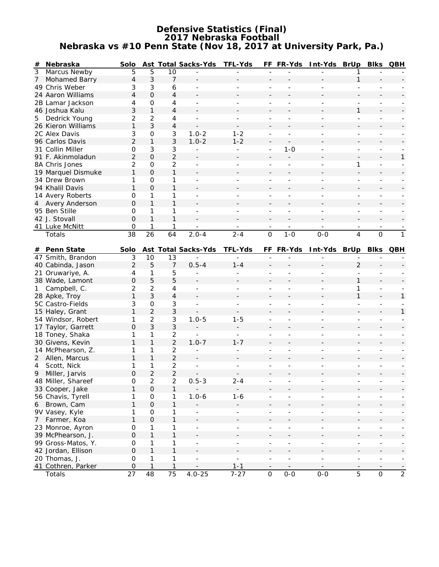### **Defensive Statistics (Final) 2017 Nebraska Football Nebraska vs #10 Penn State (Nov 18, 2017 at University Park, Pa.)**

| #              | Nebraska                                | Solo            |                     |                   | Ast Total Sacks-Yds      | <b>TFL-Yds</b>           |                          |                          | FF FR-Yds Int-Yds BrUp Blks QBH |                          |                                                      |                          |
|----------------|-----------------------------------------|-----------------|---------------------|-------------------|--------------------------|--------------------------|--------------------------|--------------------------|---------------------------------|--------------------------|------------------------------------------------------|--------------------------|
| $\overline{3}$ | Marcus Newby                            | 5               | 5                   | 10                |                          |                          |                          |                          |                                 |                          |                                                      |                          |
| 7              | Mohamed Barry                           | 4               | $\mathfrak{Z}$      | $\overline{7}$    |                          |                          | $\overline{a}$           |                          |                                 | $\mathbf{1}$             |                                                      |                          |
|                | 49 Chris Weber                          | 3               | 3                   | 6                 | $\blacksquare$           | $\overline{\phantom{0}}$ | $\overline{a}$           |                          |                                 | ÷,                       |                                                      |                          |
|                | 24 Aaron Williams                       | $\overline{4}$  | $\overline{O}$      | $\overline{4}$    |                          |                          |                          |                          |                                 |                          |                                                      |                          |
|                | 2B Lamar Jackson                        | 4               | $\mathbf 0$         | 4                 |                          |                          |                          |                          |                                 |                          | $\overline{\phantom{0}}$                             |                          |
|                | 46 Joshua Kalu                          | 3               | $\mathbf{1}$        | $\overline{4}$    |                          |                          |                          |                          |                                 | 1                        |                                                      |                          |
| 5              | Dedrick Young                           | $\overline{2}$  | $\overline{2}$      | 4                 | $\blacksquare$           | ÷,                       |                          |                          |                                 | $\overline{a}$           | $\overline{\phantom{0}}$                             |                          |
|                | 26 Kieron Williams                      | 1               | 3                   | 4                 |                          |                          |                          |                          |                                 |                          |                                                      |                          |
|                | 2C Alex Davis                           | 3               | $\mathbf 0$         | 3                 | $1.0 - 2$                | $1 - 2$                  |                          |                          |                                 | $\overline{a}$           | $\overline{\phantom{a}}$                             |                          |
|                | 96 Carlos Davis                         | $\overline{2}$  | $\mathbf{1}$        | 3                 | $1.0 - 2$                | $1 - 2$                  |                          |                          |                                 |                          |                                                      |                          |
|                | 31 Collin Miller                        | $\mathbf{O}$    | $\mathfrak{Z}$      | 3                 | $\overline{\phantom{a}}$ | ÷,                       | ÷,                       | $1 - 0$                  |                                 |                          | $\overline{\phantom{a}}$                             |                          |
|                | 91 F. Akinmoladun                       | $\overline{2}$  | $\mathbf 0$         | $\overline{2}$    |                          |                          | $\overline{\phantom{a}}$ |                          |                                 | $\overline{\phantom{a}}$ | $\overline{\phantom{a}}$                             | $\mathbf{1}$             |
|                | 8A Chris Jones                          | 2               | $\mathbf 0$         | $\overline{c}$    | $\blacksquare$           | ÷                        | ÷,                       | $\overline{a}$           |                                 | 1                        | $\blacksquare$                                       |                          |
|                | 19 Marquel Dismuke                      | $\mathbf{1}$    | $\mathbf 0$         | $\mathbf{1}$      |                          |                          |                          |                          |                                 |                          |                                                      |                          |
|                | 34 Drew Brown                           | 1               | $\mathbf 0$         | 1                 | $\mathbf{r}$             | ÷.                       |                          | $\overline{a}$           | ٠                               | $\overline{a}$           | ÷.                                                   |                          |
|                | 94 Khalil Davis                         | $\mathbf{1}$    | $\Omega$            | $\mathbf{1}$      |                          |                          |                          |                          |                                 |                          |                                                      |                          |
|                | 14 Avery Roberts                        | 0               | 1                   | 1                 | $\blacksquare$           |                          |                          | $\overline{a}$           |                                 | ÷,                       | $\overline{\phantom{0}}$                             |                          |
| 4              | Avery Anderson                          | 0               | $\mathbf{1}$        | $\mathbf{1}$      |                          |                          |                          |                          |                                 |                          |                                                      |                          |
|                | 95 Ben Stille                           | 0               | 1                   | 1                 | $\overline{\phantom{a}}$ | $\overline{a}$           | ÷,                       |                          |                                 | ÷,                       | $\blacksquare$                                       |                          |
|                | 42 J. Stovall                           | $\Omega$        | $\mathbf{1}$        | $\mathbf{1}$      |                          |                          |                          |                          |                                 |                          |                                                      |                          |
|                | 41 Luke McNitt                          | $\mathbf 0$     | $\mathbf{1}$        | 1                 |                          |                          |                          |                          |                                 |                          |                                                      |                          |
|                | Totals                                  | 38              | $\overline{26}$     | 64                | $2.0 - 4$                | $2 - 4$                  | $\overline{0}$           | $1 - 0$                  | $0-0$                           | $\overline{4}$           | $\overline{0}$                                       | $\overline{1}$           |
|                | # Penn State                            | Solo            |                     |                   | Ast Total Sacks-Yds      | <b>TFL-Yds</b>           |                          | FF FR-Yds                | Int-Yds BrUp Blks QBH           |                          |                                                      |                          |
|                | 47 Smith, Brandon                       | $\mathfrak{Z}$  | 10                  | 13                |                          |                          |                          |                          |                                 |                          |                                                      |                          |
|                | 40 Cabinda, Jason                       | $\overline{2}$  | 5                   | $\overline{7}$    | $0.5 - 4$                | $1 - 4$                  |                          |                          |                                 | $\overline{2}$           |                                                      |                          |
|                | 21 Oruwariye, A.                        | 4               | 1                   | 5                 |                          | ÷,                       | ÷,                       |                          |                                 | ÷,                       |                                                      |                          |
|                | 38 Wade, Lamont                         | 0               | 5                   | 5                 |                          |                          |                          |                          |                                 | 1                        |                                                      |                          |
| 1              | Campbell, C.                            | 2               | $\overline{2}$      | 4                 | $\overline{\phantom{a}}$ | $\blacksquare$           | ÷,                       |                          |                                 | 1                        | $\blacksquare$                                       |                          |
|                | 28 Apke, Troy                           | $\mathbf{1}$    | 3                   | $\overline{4}$    | $\sim$                   |                          |                          |                          |                                 | 1                        |                                                      | 1                        |
|                | 5C Castro-Fields                        | 3               | 0                   | 3                 |                          | ÷                        |                          |                          |                                 | $\overline{\phantom{a}}$ | $\overline{\phantom{a}}$                             |                          |
|                | 15 Haley, Grant                         | $\mathbf{1}$    | $\overline{2}$      | 3                 |                          |                          |                          |                          |                                 |                          | $\blacksquare$                                       | 1                        |
|                | 54 Windsor, Robert                      | 1               | $\overline{2}$      | 3                 | $1.0 - 5$                | $1 - 5$                  | $\overline{a}$           | $\overline{a}$           |                                 | $\overline{a}$           | $\overline{\phantom{a}}$                             |                          |
|                | 17 Taylor, Garrett                      | 0               | 3                   | 3                 |                          | $\overline{\phantom{a}}$ |                          |                          |                                 |                          |                                                      |                          |
|                | 18 Toney, Shaka                         | 1               | 1                   | $\overline{2}$    | $\sim$                   | $\overline{a}$           |                          |                          |                                 |                          |                                                      |                          |
|                | 30 Givens, Kevin                        | $\mathbf{1}$    | $\mathbf{1}$        | $\overline{2}$    | $1.0 - 7$                | $1 - 7$                  |                          |                          |                                 |                          |                                                      |                          |
|                | 14 McPhearson, Z.                       | 1               | 1                   | $\overline{2}$    |                          | $\overline{\phantom{0}}$ |                          |                          |                                 |                          |                                                      |                          |
|                | 2 Allen, Marcus                         | 1               | $\mathbf{1}$        | $\overline{2}$    |                          |                          |                          |                          |                                 |                          |                                                      |                          |
| 4              | Scott, Nick                             | 1               | 1                   | $\overline{2}$    |                          |                          |                          |                          |                                 |                          |                                                      |                          |
|                | 9 Miller, Jarvis                        | $\Omega$        | $\overline{2}$      | $\overline{2}$    |                          |                          |                          |                          |                                 |                          |                                                      |                          |
|                | 48 Miller, Shareef                      | $\mathsf O$     | $\overline{c}$      | $\overline{a}$    | $0.5 - 3$                | $2 - 4$                  |                          |                          |                                 |                          |                                                      |                          |
|                | 33 Cooper, Jake                         | 1               | $\mathsf{O}\xspace$ | $\mathbf{1}$      |                          | $\overline{\phantom{a}}$ |                          |                          |                                 |                          |                                                      |                          |
|                | 56 Chavis, Tyrell                       | 1               | $\mbox{O}$          | 1                 | $1.0 - 6$                | $1 - 6$                  | $\overline{\phantom{a}}$ | $\blacksquare$           | $\overline{\phantom{a}}$        | $\overline{\phantom{a}}$ | $\blacksquare$                                       |                          |
| 6              | Brown, Cam                              | 1               | $\mathsf{O}\xspace$ | 1                 |                          |                          |                          |                          |                                 |                          |                                                      |                          |
|                | 9V Vasey, Kyle                          | 1               | $\mbox{O}$          | 1                 |                          | $\equiv$                 | ÷,                       | $\overline{a}$           | $\overline{a}$                  | $\blacksquare$           | $\equiv$                                             |                          |
| 7 <sup>7</sup> | Farmer, Koa                             | $\mathbf{1}$    | $\mathsf{O}\xspace$ | $\mathbf{1}$      | $\blacksquare$           |                          | $\overline{a}$           | $\overline{a}$           |                                 |                          | $\overline{\phantom{0}}$                             |                          |
|                | 23 Monroe, Ayron                        | $\mbox{O}$      | 1                   | 1                 |                          | ÷,                       |                          |                          | $\overline{a}$                  | ÷,                       | ÷,                                                   |                          |
|                | 39 McPhearson, J.<br>99 Gross-Matos, Y. | O<br>$\mbox{O}$ | $\mathbf{1}$        | $\mathbf{1}$      | $\blacksquare$           | ÷,                       | ÷,                       | $\overline{\phantom{a}}$ | $\overline{\phantom{a}}$        | ÷,                       | $\overline{\phantom{a}}$<br>$\overline{\phantom{a}}$ |                          |
|                | 42 Jordan, Ellison                      | $\mbox{O}$      | 1<br>$\mathbf{1}$   | 1<br>$\mathbf{1}$ |                          |                          |                          |                          |                                 |                          |                                                      |                          |
|                | 20 Thomas, J.                           | $\mathbf 0$     | $\mathbf{1}$        | 1                 |                          |                          |                          |                          | $\overline{\phantom{a}}$        | $\overline{\phantom{0}}$ | $\overline{\phantom{a}}$                             |                          |
|                | 41 Cothren, Parker                      | $\mathbf 0$     | $\mathbf{1}$        | $\mathbf{1}$      | $\overline{\phantom{a}}$ | $1 - 1$                  | $\overline{\phantom{a}}$ | $\overline{\phantom{a}}$ | $\overline{\phantom{a}}$        |                          | $\overline{\phantom{a}}$                             | $\overline{\phantom{a}}$ |
|                | Totals                                  | 27              | 48                  | 75                | $4.0 - 25$               | $7 - 27$                 | $\mathbf{O}$             | $0 - 0$                  | $0 - 0$                         | $\overline{5}$           | $\mathsf{O}\xspace$                                  | $\overline{2}$           |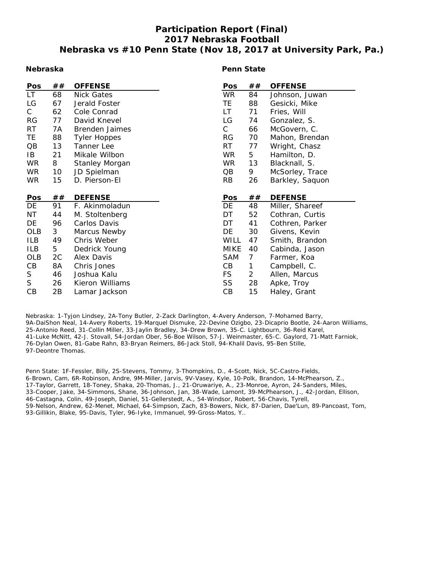## **Participation Report (Final) 2017 Nebraska Football Nebraska vs #10 Penn State (Nov 18, 2017 at University Park, Pa.)**

#### **Nebraska**

#### **Penn State**

| Pos        | ## | <b>OFFENSE</b>        | Pos          | ##             | <b>OFFENSE</b>  |
|------------|----|-----------------------|--------------|----------------|-----------------|
| LT.        | 68 | <b>Nick Gates</b>     | <b>WR</b>    | 84             | Johnson, Juwan  |
| LG         | 67 | Jerald Foster         | TE.          | 88             | Gesicki, Mike   |
| C.         | 62 | Cole Conrad           | LT           | 71             | Fries, Will     |
| <b>RG</b>  | 77 | David Knevel          | LG           | 74             | Gonzalez, S.    |
| RT         | 7A | Brenden Jaimes        | $\mathsf{C}$ | 66             | McGovern, C.    |
| <b>TE</b>  | 88 | <b>Tyler Hoppes</b>   | <b>RG</b>    | 70             | Mahon, Brendan  |
| QB         | 13 | Tanner Lee            | <b>RT</b>    | 77             | Wright, Chasz   |
| IB         | 21 | Mikale Wilbon         | <b>WR</b>    | 5              | Hamilton, D.    |
| <b>WR</b>  | 8  | <b>Stanley Morgan</b> | <b>WR</b>    | 13             | Blacknall, S.   |
| <b>WR</b>  | 10 | JD Spielman           | QB           | 9              | McSorley, Trace |
| WR.        | 15 | D. Pierson-El         | <b>RB</b>    | 26             | Barkley, Saquon |
|            |    |                       |              |                |                 |
| Pos        | ## | <b>DEFENSE</b>        | Pos          | ##             | <b>DEFENSE</b>  |
| DE         | 91 | F. Akinmoladun        | DE           | 48             | Miller, Shareef |
| ΝT         | 44 | M. Stoltenberg        | DT           | 52             | Cothran, Curtis |
| DE         | 96 |                       |              |                |                 |
| OLB        |    | Carlos Davis          | DT           | 41             | Cothren, Parker |
|            | 3  | Marcus Newby          | DE           | 30             | Givens, Kevin   |
| ILB        | 49 | Chris Weber           | <b>WILL</b>  | 47             | Smith, Brandon  |
| <b>ILB</b> | 5  | Dedrick Young         | <b>MIKE</b>  | 40             | Cabinda, Jason  |
| <b>OLB</b> | 2C | Alex Davis            | <b>SAM</b>   | 7              | Farmer, Koa     |
| CB         | 8A | Chris Jones           | CB           | 1              | Campbell, C.    |
| S          | 46 | Joshua Kalu           | <b>FS</b>    | $\overline{2}$ | Allen, Marcus   |
| S          | 26 | Kieron Williams       | SS           | 28             | Apke, Troy      |

Nebraska: 1-Tyjon Lindsey, 2A-Tony Butler, 2-Zack Darlington, 4-Avery Anderson, 7-Mohamed Barry, 9A-DaiShon Neal, 14-Avery Roberts, 19-Marquel Dismuke, 22-Devine Ozigbo, 23-Dicaprio Bootle, 24-Aaron Williams, 25-Antonio Reed, 31-Collin Miller, 33-Jaylin Bradley, 34-Drew Brown, 35-C. Lightbourn, 36-Reid Karel, 41-Luke McNitt, 42-J. Stovall, 54-Jordan Ober, 56-Boe Wilson, 57-J. Weinmaster, 65-C. Gaylord, 71-Matt Farniok, 76-Dylan Owen, 81-Gabe Rahn, 83-Bryan Reimers, 86-Jack Stoll, 94-Khalil Davis, 95-Ben Stille, 97-Deontre Thomas.

Penn State: 1F-Fessler, Billy, 2S-Stevens, Tommy, 3-Thompkins, D., 4-Scott, Nick, 5C-Castro-Fields, 6-Brown, Cam, 6R-Robinson, Andre, 9M-Miller, Jarvis, 9V-Vasey, Kyle, 10-Polk, Brandon, 14-McPhearson, Z., 17-Taylor, Garrett, 18-Toney, Shaka, 20-Thomas, J., 21-Oruwariye, A., 23-Monroe, Ayron, 24-Sanders, Miles, 33-Cooper, Jake, 34-Simmons, Shane, 36-Johnson, Jan, 38-Wade, Lamont, 39-McPhearson, J., 42-Jordan, Ellison, 46-Castagna, Colin, 49-Joseph, Daniel, 51-Gellerstedt, A., 54-Windsor, Robert, 56-Chavis, Tyrell, 59-Nelson, Andrew, 62-Menet, Michael, 64-Simpson, Zach, 83-Bowers, Nick, 87-Darien, Dae'Lun, 89-Pancoast, Tom, 93-Gillikin, Blake, 95-Davis, Tyler, 96-Iyke, Immanuel, 99-Gross-Matos, Y..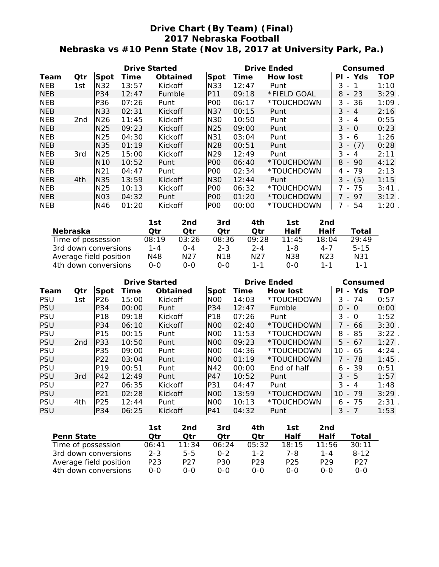## **Drive Chart (By Team) (Final) 2017 Nebraska Football Nebraska vs #10 Penn State (Nov 18, 2017 at University Park, Pa.)**

|            |     |                 | <b>Drive Started</b> |                 |                  |       | <b>Drive Ended</b> | Consumed                           |            |  |
|------------|-----|-----------------|----------------------|-----------------|------------------|-------|--------------------|------------------------------------|------------|--|
| Team       | Qtr | <b>Spot</b>     | Time                 | <b>Obtained</b> | Spot             | Time  | <b>How lost</b>    | - Yds<br>ΡI                        | <b>TOP</b> |  |
| <b>NEB</b> | 1st | N32             | 13:57                | Kickoff         | <b>N33</b>       | 12:47 | Punt               | 3<br>$\overline{\phantom{a}}$      | 1:10       |  |
| <b>NEB</b> |     | P34             | 12:47                | Fumble          | <b>P11</b>       | 09:18 | *FIELD GOAL        | $8 - 23$                           | 3:29       |  |
| <b>NEB</b> |     | P36             | 07:26                | Punt            | IPOO             | 06:17 | *TOUCHDOWN         | $3 - 36$                           | 1:09       |  |
| <b>NEB</b> |     | N33             | 02:31                | Kickoff         | N37              | 00:15 | Punt               | $3 - 4$                            | 2:16       |  |
| <b>NEB</b> | 2nd | N <sub>26</sub> | 11:45                | Kickoff         | N30              | 10:50 | Punt               | 3<br>$-4$                          | 0:55       |  |
| <b>NEB</b> |     | N <sub>25</sub> | 09:23                | Kickoff         | N <sub>25</sub>  | 09:00 | Punt               | 3<br>- 0                           | 0:23       |  |
| <b>NEB</b> |     | N <sub>25</sub> | 04:30                | Kickoff         | N31              | 03:04 | Punt               | 3<br>6<br>$\overline{\phantom{a}}$ | 1:26       |  |
| <b>NEB</b> |     | N <sub>35</sub> | 01:19                | Kickoff         | N <sub>28</sub>  | 00:51 | Punt               | $3 -$<br>(7)                       | 0:28       |  |
| <b>NEB</b> | 3rd | N <sub>25</sub> | 15:00                | Kickoff         | N <sub>29</sub>  | 12:49 | Punt               | 3<br>4<br>$\overline{\phantom{a}}$ | 2:11       |  |
| <b>NEB</b> |     | N <sub>10</sub> | 10:52                | Punt            | P <sub>O</sub> O | 06:40 | *TOUCHDOWN         | $8 -$<br>90                        | 4:12       |  |
| <b>NEB</b> |     | N <sub>21</sub> | 04:47                | Punt            | P <sub>00</sub>  | 02:34 | *TOUCHDOWN         | 79<br>4 -                          | 2:13       |  |
| <b>NEB</b> | 4th | N <sub>35</sub> | 13:59                | Kickoff         | <b>N30</b>       | 12:44 | Punt               | (5)<br>$3 -$                       | 1:15       |  |
| <b>NEB</b> |     | N <sub>25</sub> | 10:13                | Kickoff         | P <sub>00</sub>  | 06:32 | *TOUCHDOWN         | 7 -<br>-75                         | 3:41       |  |
| <b>NEB</b> |     | <b>NO3</b>      | 04:32                | Punt            | IPOO             | 01:20 | *TOUCHDOWN         | 7 - 97                             | 3:12       |  |
| <b>NEB</b> |     | N46             | 01:20                | Kickoff         | P <sub>O</sub> O | 00:00 | *TOUCHDOWN         | 54<br>$\sim$                       | 1:20       |  |

|                        | 1st     | 2nd     | 3rd             | 4th     | 1st     | 2nd              |          |
|------------------------|---------|---------|-----------------|---------|---------|------------------|----------|
| <b>Nebraska</b>        | Otr     | Otr     | Otr             | Otr     | Half    | Half             | Total    |
| Time of possession     | 08:19   | 03:26   | 08:36           | 09:28   | 11:45   | 18:04            | 29:49    |
| 3rd down conversions   | $1 - 4$ | $0 - 4$ | $2 - 3$         | $2 - 4$ | 1-8     | $4 - 7$          | $5 - 15$ |
| Average field position | N48     | N27     | N <sub>18</sub> | N27     | N38     | N <sub>2</sub> 3 | N31      |
| 4th down conversions   | 0-0     | 0-0     | ი-ი             | $1 - 1$ | $0 - 0$ | $1 - 1$          | $1 - 1$  |

|            |                 |                 | <b>Drive Started</b> |          |                 |       | <b>Drive Ended</b> | Consumed                             |          |
|------------|-----------------|-----------------|----------------------|----------|-----------------|-------|--------------------|--------------------------------------|----------|
| Team       | Qtr             | <b>Spot</b>     | Time                 | Obtained | Spot            | Time  | <b>How lost</b>    | Yds<br>ΡI<br>$\blacksquare$          | TOP      |
| <b>PSU</b> | 1st             | P26             | 15:00                | Kickoff  | N <sub>0</sub>  | 14:03 | *TOUCHDOWN         | 3<br>- 74                            | 0:57     |
| <b>PSU</b> |                 | P34             | 00:00                | Punt     | P34             | 12:47 | Fumble             | 0<br>- 0                             | 0:00     |
| <b>PSU</b> |                 | P18             | 09:18                | Kickoff  | P18             | 07:26 | Punt               | 3<br>- 0                             | 1:52     |
| <b>PSU</b> |                 | P34             | 06:10                | Kickoff  | N <sub>00</sub> | 02:40 | *TOUCHDOWN         | - 66                                 | 3:30     |
| <b>PSU</b> |                 | P <sub>15</sub> | 00:15                | Punt     | N <sub>0</sub>  | 11:53 | *TOUCHDOWN         | 8<br>- 85                            | 3:22     |
| <b>PSU</b> | 2 <sub>nd</sub> | P33             | 10:50                | Punt     | NOO             | 09:23 | *TOUCHDOWN         | 5<br>67<br>$\overline{a}$            | $1:27$ . |
| <b>PSU</b> |                 | P35             | 09:00                | Punt     | N <sub>00</sub> | 04:36 | *TOUCHDOWN         | 10<br>65<br>$\sim$                   | 4:24     |
| <b>PSU</b> |                 | P <sub>22</sub> | 03:04                | Punt     | N <sub>00</sub> | 01:19 | *TOUCHDOWN         | 7 - 78                               | 1:45     |
| <b>PSU</b> |                 | P19             | 00:51                | Punt     | N42             | 00:00 | End of half        | -39<br>6<br>$\overline{\phantom{a}}$ | 0:51     |
| <b>PSU</b> | 3rd             | P42             | 12:49                | Punt     | P47             | 10:52 | Punt               | $3 - 5$                              | 1:57     |
| <b>PSU</b> |                 | P27             | 06:35                | Kickoff  | P31             | 04:47 | Punt               | 3<br>-4<br>$\overline{\phantom{a}}$  | 1:48     |
| <b>PSU</b> |                 | P21             | 02:28                | Kickoff  | N <sub>00</sub> | 13:59 | *TOUCHDOWN         | 79<br>10<br>$\overline{\phantom{a}}$ | 3:29     |
| <b>PSU</b> | 4th             | P <sub>25</sub> | 12:44                | Punt     | N <sub>00</sub> | 10:13 | *TOUCHDOWN         | 75<br>6<br>$\overline{\phantom{0}}$  | 2:31     |
| <b>PSU</b> |                 | P34             | 06:25                | Kickoff  | IP41            | 04:32 | Punt               | 3<br>$\overline{\phantom{a}}$        | 1:53     |

|                        | 1st             | 2nd   | 3rd     | 4th             | 1st             | 2nd             |                 |
|------------------------|-----------------|-------|---------|-----------------|-----------------|-----------------|-----------------|
| <b>Penn State</b>      | Otr             | Otr   | Otr     | Otr             | Half            | Half            | Total           |
| Time of possession     | 06:41           | 11:34 | 06:24   | 05:32           | 18:15           | 11:56           | 30:11           |
| 3rd down conversions   | $2 - 3$         | $5-5$ | $0 - 2$ | $1 - 2$         | 7-8             | $1 - 4$         | $8 - 12$        |
| Average field position | P <sub>23</sub> | P27   | P30     | P <sub>29</sub> | P <sub>25</sub> | P <sub>29</sub> | P <sub>27</sub> |
| 4th down conversions   | $O-O$           | 0-0   | 0-0     | 0-0             | $0 - 0$         | റ-റ             | 0-0             |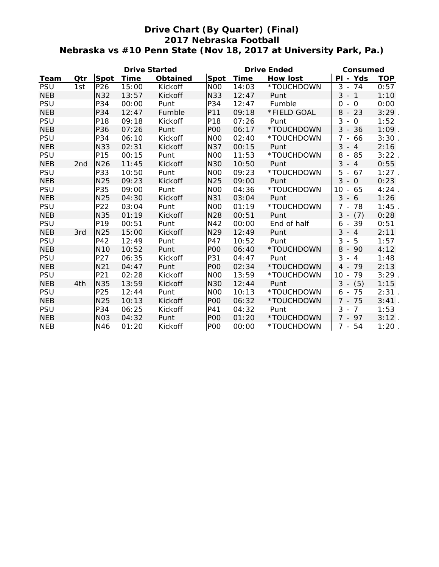## **Drive Chart (By Quarter) (Final) 2017 Nebraska Football Nebraska vs #10 Penn State (Nov 18, 2017 at University Park, Pa.)**

|            |                 |                 | <b>Drive Started</b> |                 |                 |       | <b>Drive Ended</b> | Consumed               |            |
|------------|-----------------|-----------------|----------------------|-----------------|-----------------|-------|--------------------|------------------------|------------|
| Team       | Qtr             | Spot            | <b>Time</b>          | <b>Obtained</b> | Spot            | Time  | How lost           | PI - Yds               | <b>TOP</b> |
| <b>PSU</b> | 1st             | P26             | 15:00                | <b>Kickoff</b>  | N <sub>0</sub>  | 14:03 | *TOUCHDOWN         | $3 - 74$               | 0:57       |
| <b>NEB</b> |                 | <b>N32</b>      | 13:57                | Kickoff         | <b>N33</b>      | 12:47 | Punt               | $3 - 1$                | 1:10       |
| <b>PSU</b> |                 | P34             | 00:00                | Punt            | P34             | 12:47 | Fumble             | 0<br>$-0$              | 0:00       |
| <b>NEB</b> |                 | P34             | 12:47                | Fumble          | P11             | 09:18 | *FIELD GOAL        | $8 - 23$               | 3:29       |
| <b>PSU</b> |                 | P18             | 09:18                | Kickoff         | P18             | 07:26 | Punt               | $3 - 0$                | 1:52       |
| <b>NEB</b> |                 | P36             | 07:26                | Punt            | P <sub>O</sub>  | 06:17 | *TOUCHDOWN         | $3 - 36$               | $1:09$ .   |
| <b>PSU</b> |                 | P34             | 06:10                | Kickoff         | N <sub>O</sub>  | 02:40 | *TOUCHDOWN         | $\overline{7}$<br>- 66 | 3:30.      |
| <b>NEB</b> |                 | <b>N33</b>      | 02:31                | Kickoff         | <b>N37</b>      | 00:15 | Punt               | $3 - 4$                | 2:16       |
| <b>PSU</b> |                 | P15             | 00:15                | Punt            | N <sub>O</sub>  | 11:53 | *TOUCHDOWN         | 8<br>- 85              | $3:22$ .   |
| <b>NEB</b> | 2 <sub>nd</sub> | <b>N26</b>      | 11:45                | Kickoff         | <b>N30</b>      | 10:50 | Punt               | $3 - 4$                | 0:55       |
| <b>PSU</b> |                 | P33             | 10:50                | Punt            | N <sub>0</sub>  | 09:23 | *TOUCHDOWN         | $5 - 67$               | 1:27       |
| <b>NEB</b> |                 | N25             | 09:23                | Kickoff         | N25             | 09:00 | Punt               | 3<br>$-0$              | 0:23       |
| <b>PSU</b> |                 | P35             | 09:00                | Punt            | N <sub>O</sub>  | 04:36 | *TOUCHDOWN         | $10 - 65$              | 4:24       |
| <b>NEB</b> |                 | N25             | 04:30                | Kickoff         | N31             | 03:04 | Punt               | $3 - 6$                | 1:26       |
| <b>PSU</b> |                 | P22             | 03:04                | Punt            | N <sub>0</sub>  | 01:19 | *TOUCHDOWN         | 7 - 78                 | 1:45       |
| <b>NEB</b> |                 | <b>N35</b>      | 01:19                | Kickoff         | N28             | 00:51 | Punt               | $3 - (7)$              | 0:28       |
| <b>PSU</b> |                 | P19             | 00:51                | Punt            | N42             | 00:00 | End of half        | $6 - 39$               | 0:51       |
| <b>NEB</b> | 3rd             | N25             | 15:00                | Kickoff         | N29             | 12:49 | Punt               | $3 - 4$                | 2:11       |
| <b>PSU</b> |                 | P42             | 12:49                | Punt            | P47             | 10:52 | Punt               | 3<br>- 5               | 1:57       |
| <b>NEB</b> |                 | <b>N10</b>      | 10:52                | Punt            | PO <sub>O</sub> | 06:40 | *TOUCHDOWN         | $8 - 90$               | 4:12       |
| <b>PSU</b> |                 | P27             | 06:35                | Kickoff         | P31             | 04:47 | Punt               | 3<br>$-4$              | 1:48       |
| <b>NEB</b> |                 | N <sub>21</sub> | 04:47                | Punt            | P <sub>O</sub>  | 02:34 | *TOUCHDOWN         | 4 - 79                 | 2:13       |
| <b>PSU</b> |                 | P21             | 02:28                | Kickoff         | N <sub>O</sub>  | 13:59 | *TOUCHDOWN         | 79<br>$10 -$           | $3:29$ .   |
| <b>NEB</b> | 4th             | <b>N35</b>      | 13:59                | Kickoff         | N30             | 12:44 | Punt               | $3 -$<br>(5)           | 1:15       |
| <b>PSU</b> |                 | P25             | 12:44                | Punt            | N <sub>O</sub>  | 10:13 | *TOUCHDOWN         | 75<br>$6 -$            | 2:31.      |
| <b>NEB</b> |                 | N25             | 10:13                | Kickoff         | P <sub>O</sub>  | 06:32 | *TOUCHDOWN         | $7 - 75$               | 3:41       |
| <b>PSU</b> |                 | P34             | 06:25                | Kickoff         | P41             | 04:32 | Punt               | $3 - 7$                | 1:53       |
| <b>NEB</b> |                 | <b>NO3</b>      | 04:32                | Punt            | PO <sub>O</sub> | 01:20 | *TOUCHDOWN         | $7 - 97$               | 3:12.      |
| <b>NEB</b> |                 | N46             | 01:20                | Kickoff         | <b>POO</b>      | 00:00 | *TOUCHDOWN         | $7 - 54$               | $1:20$ .   |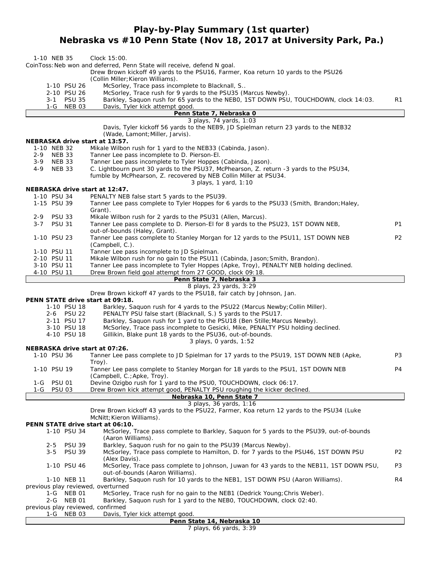## **Play-by-Play Summary (1st quarter) Nebraska vs #10 Penn State (Nov 18, 2017 at University Park, Pa.)**

| 1-10 NEB 35                             | Clock 15:00.                                                                                                                                                |                |
|-----------------------------------------|-------------------------------------------------------------------------------------------------------------------------------------------------------------|----------------|
|                                         | CoinToss: Neb won and deferred, Penn State will receive, defend N goal.                                                                                     |                |
|                                         | Drew Brown kickoff 49 yards to the PSU16, Farmer, Koa return 10 yards to the PSU26<br>(Collin Miller; Kieron Williams).                                     |                |
| 1-10 PSU 26                             | McSorley, Trace pass incomplete to Blacknall, S                                                                                                             |                |
| 2-10 PSU 26                             | McSorley, Trace rush for 9 yards to the PSU35 (Marcus Newby).<br>Barkley, Saquon rush for 65 yards to the NEBO, 1ST DOWN PSU, TOUCHDOWN, clock 14:03.       |                |
| 3-1 PSU 35<br>1-G NEB 03                | Davis, Tyler kick attempt good.                                                                                                                             | R1             |
|                                         | Penn State 7, Nebraska 0                                                                                                                                    |                |
|                                         | 3 plays, 74 yards, 1:03<br>Davis, Tyler kickoff 56 yards to the NEB9, JD Spielman return 23 yards to the NEB32                                              |                |
|                                         | (Wade, Lamont; Miller, Jarvis).                                                                                                                             |                |
|                                         | NEBRASKA drive start at 13:57.                                                                                                                              |                |
| 1-10 NEB 32<br>$2 - 9$<br><b>NEB 33</b> | Mikale Wilbon rush for 1 yard to the NEB33 (Cabinda, Jason).<br>Tanner Lee pass incomplete to D. Pierson-El.                                                |                |
| $3-9$<br><b>NEB 33</b>                  | Tanner Lee pass incomplete to Tyler Hoppes (Cabinda, Jason).                                                                                                |                |
| <b>NEB 33</b><br>4-9                    | C. Lightbourn punt 30 yards to the PSU37, McPhearson, Z. return -3 yards to the PSU34,                                                                      |                |
|                                         | fumble by McPhearson, Z. recovered by NEB Collin Miller at PSU34.                                                                                           |                |
|                                         | 3 plays, 1 yard, 1:10<br>NEBRASKA drive start at 12:47.                                                                                                     |                |
| 1-10 PSU 34                             | PENALTY NEB false start 5 yards to the PSU39.                                                                                                               |                |
| 1-15 PSU 39                             | Tanner Lee pass complete to Tyler Hoppes for 6 yards to the PSU33 (Smith, Brandon; Haley,                                                                   |                |
| $2 - 9$<br><b>PSU 33</b>                | Grant).<br>Mikale Wilbon rush for 2 yards to the PSU31 (Allen, Marcus).                                                                                     |                |
| $3 - 7$<br><b>PSU 31</b>                | Tanner Lee pass complete to D. Pierson-El for 8 yards to the PSU23, 1ST DOWN NEB,                                                                           | P1             |
|                                         | out-of-bounds (Haley, Grant).                                                                                                                               |                |
| 1-10 PSU 23                             | Tanner Lee pass complete to Stanley Morgan for 12 yards to the PSU11, 1ST DOWN NEB<br>(Campbell, C.).                                                       | P <sub>2</sub> |
| 1-10 PSU 11                             | Tanner Lee pass incomplete to JD Spielman.                                                                                                                  |                |
| 2-10 PSU 11                             | Mikale Wilbon rush for no gain to the PSU11 (Cabinda, Jason; Smith, Brandon).                                                                               |                |
| 3-10 PSU 11<br>4-10 PSU 11              | Tanner Lee pass incomplete to Tyler Hoppes (Apke, Troy), PENALTY NEB holding declined.<br>Drew Brown field goal attempt from 27 GOOD, clock 09:18.          |                |
|                                         | Penn State 7, Nebraska 3                                                                                                                                    |                |
|                                         | 8 plays, 23 yards, 3:29                                                                                                                                     |                |
|                                         | Drew Brown kickoff 47 yards to the PSU18, fair catch by Johnson, Jan.<br>PENN STATE drive start at 09:18.                                                   |                |
| 1-10 PSU 18                             | Barkley, Saquon rush for 4 yards to the PSU22 (Marcus Newby; Collin Miller).                                                                                |                |
| 2-6 PSU 22                              | PENALTY PSU false start (Blacknall, S.) 5 yards to the PSU17.                                                                                               |                |
| 2-11 PSU 17<br>3-10 PSU 18              | Barkley, Saquon rush for 1 yard to the PSU18 (Ben Stille; Marcus Newby).<br>McSorley, Trace pass incomplete to Gesicki, Mike, PENALTY PSU holding declined. |                |
| 4-10 PSU 18                             | Gillikin, Blake punt 18 yards to the PSU36, out-of-bounds.                                                                                                  |                |
|                                         | $3$ plays, 0 yards, 1:52                                                                                                                                    |                |
| 1-10 PSU 36                             | NEBRASKA drive start at 07:26.<br>Tanner Lee pass complete to JD Spielman for 17 yards to the PSU19, 1ST DOWN NEB (Apke,                                    | P3             |
|                                         | Troy).                                                                                                                                                      |                |
| 1-10 PSU 19                             | Tanner Lee pass complete to Stanley Morgan for 18 yards to the PSU1, 1ST DOWN NEB                                                                           | P4             |
| <b>PSU 01</b><br>1-G                    | (Campbell, C.; Apke, Troy).<br>Devine Ozigbo rush for 1 yard to the PSU0, TOUCHDOWN, clock 06:17.                                                           |                |
| <b>PSU 03</b><br>1-G                    | Drew Brown kick attempt good, PENALTY PSU roughing the kicker declined.                                                                                     |                |
|                                         | Nebraska 10, Penn State 7                                                                                                                                   |                |
|                                         | 3 plays, 36 yards, 1:16<br>Drew Brown kickoff 43 yards to the PSU22, Farmer, Koa return 12 yards to the PSU34 (Luke                                         |                |
|                                         | McNitt; Kieron Williams).                                                                                                                                   |                |
|                                         | PENN STATE drive start at 06:10.                                                                                                                            |                |
| 1-10 PSU 34                             | McSorley, Trace pass complete to Barkley, Saquon for 5 yards to the PSU39, out-of-bounds<br>(Aaron Williams).                                               |                |
| $2 - 5$                                 | <b>PSU 39</b><br>Barkley, Saquon rush for no gain to the PSU39 (Marcus Newby).                                                                              |                |
| $3 - 5$                                 | <b>PSU 39</b><br>McSorley, Trace pass complete to Hamilton, D. for 7 yards to the PSU46, 1ST DOWN PSU                                                       | P <sub>2</sub> |
| 1-10 PSU 46                             | (Alex Davis).<br>McSorley, Trace pass complete to Johnson, Juwan for 43 yards to the NEB11, 1ST DOWN PSU,                                                   | P3             |
|                                         | out-of-bounds (Aaron Williams).                                                                                                                             |                |
| 1-10 NEB 11                             | Barkley, Saquon rush for 10 yards to the NEB1, 1ST DOWN PSU (Aaron Williams).                                                                               | R4             |
| 1-G NEB 01                              | previous play reviewed, overturned<br>McSorley, Trace rush for no gain to the NEB1 (Dedrick Young; Chris Weber).                                            |                |
| 2-G                                     | NEB 01<br>Barkley, Saquon rush for 1 yard to the NEBO, TOUCHDOWN, clock 02:40.                                                                              |                |
|                                         | previous play reviewed, confirmed                                                                                                                           |                |
| 1-G NEB 03                              | Davis, Tyler kick attempt good.<br>Penn State 14, Nebraska 10                                                                                               |                |
|                                         | 7 plays, 66 yards, 3:39                                                                                                                                     |                |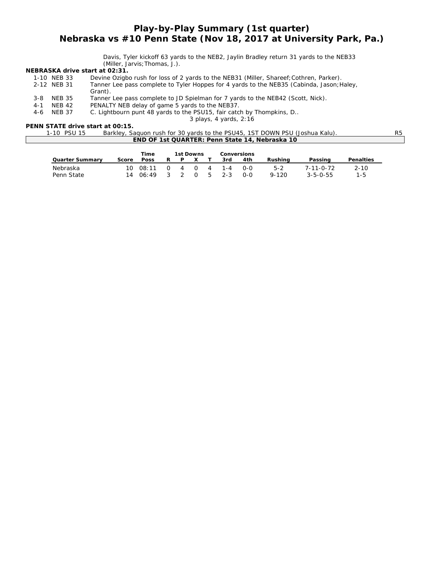## *Play-by-Play Summary (1st quarter) Nebraska vs #10 Penn State (Nov 18, 2017 at University Park, Pa.)*

Davis, Tyler kickoff 63 yards to the NEB2, Jaylin Bradley return 31 yards to the NEB33 (Miller, Jarvis;Thomas, J.).

#### **NEBRASKA drive start at 02:31.**

|         | 1-10 NEB 33   | Devine Ozigbo rush for loss of 2 yards to the NEB31 (Miller, Shareef; Cothren, Parker).   |
|---------|---------------|-------------------------------------------------------------------------------------------|
|         | 2-12 NEB 31   | Tanner Lee pass complete to Tyler Hoppes for 4 yards to the NEB35 (Cabinda, Jason; Haley, |
|         |               | Grant).                                                                                   |
| $3 - 8$ | <b>NEB 35</b> | Tanner Lee pass complete to JD Spielman for 7 yards to the NEB42 (Scott, Nick).           |
| $4 - 1$ | <b>NEB 42</b> | PENALTY NEB delay of game 5 yards to the NEB37.                                           |
| $4-6$   | NEB 37        | C. Lightbourn punt 48 yards to the PSU15, fair catch by Thompkins, D                      |
|         |               |                                                                                           |

*3 plays, 4 yards, 2:16*

#### **PENN STATE drive start at 00:15.**

| 1-10 PSU 15 | Barkley, Saguon rush for 30 yards to the PSU45, 1ST DOWN PSU (Joshua Kalu). |  |
|-------------|-----------------------------------------------------------------------------|--|
|             | <b>END OF 1st QUARTER: Penn State 14, Nebraska 10</b>                       |  |

|                        |       | Time             |   | 1st Downs |          |    | <b>Conversions</b> |       |           |                   |                  |
|------------------------|-------|------------------|---|-----------|----------|----|--------------------|-------|-----------|-------------------|------------------|
| <b>Quarter Summary</b> | Score | <b>Poss</b>      | R |           | x        |    | 3rd                | 4th   | Rushina   | Passing           | <b>Penalties</b> |
| Nebraska               |       | $10 \quad 08:11$ |   | 4         | $\Omega$ | 4  | 1 - 4              | റ-റ   | $5 - 2$   | $7 - 11 - 0 - 72$ | $2 - 10$         |
| Penn State             |       | 1406:49          | 3 |           | 0        | -5 | $2 - 3$            | $O-O$ | $9 - 120$ | $3 - 5 - 0 - 55$  | $1 - 5$          |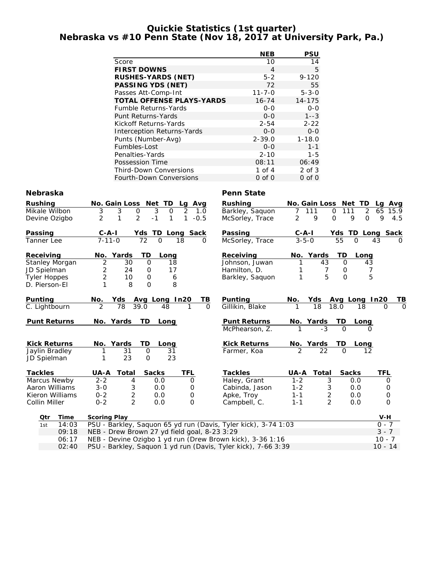### **Quickie Statistics (1st quarter) Nebraska vs #10 Penn State (Nov 18, 2017 at University Park, Pa.)**

|                                   | <b>NEB</b>   | PSU         |
|-----------------------------------|--------------|-------------|
| Score                             | 10           | 14          |
| <b>FIRST DOWNS</b>                | 4            | 5           |
| <b>RUSHES-YARDS (NET)</b>         | $5 - 2$      | $9 - 120$   |
| <b>PASSING YDS (NET)</b>          | 72           | 55          |
| Passes Att-Comp-Int               | $11 - 7 - 0$ | $5 - 3 - 0$ |
| <b>TOTAL OFFENSE PLAYS-YARDS</b>  | $16 - 74$    | 14-175      |
| <b>Fumble Returns-Yards</b>       | $0 - 0$      | $0 - 0$     |
| Punt Returns-Yards                | $0 - 0$      | $1 - 3$     |
| Kickoff Returns-Yards             | $2 - 54$     | $2 - 22$    |
| <b>Interception Returns-Yards</b> | $0 - 0$      | $0 - 0$     |
| Punts (Number-Avg)                | $2 - 39.0$   | $1 - 18.0$  |
| Fumbles-Lost                      | $O-O$        | $1 - 1$     |
| Penalties-Yards                   | $2 - 10$     | $1 - 5$     |
| Possession Time                   | 08:11        | 06:49       |
| <b>Third-Down Conversions</b>     | 1 of $4$     | $2$ of $3$  |
| Fourth-Down Conversions           | $0$ of $0$   | $0$ of $0$  |

### **Nebraska** Penn State

| <b>Rushing</b><br>3<br>Barkley, Saquon<br>Mikale Wilbon<br>3<br>2<br>111<br>3<br>$\mathbf 0$<br>$\mathbf 0$<br>$\mathbf 0$<br>111<br>1.0<br>7<br>$\mathbf{1}$<br>2<br>$\overline{2}$<br>$-1$<br>2<br>9<br>1<br>$-0.5$<br>9<br>$\Omega$<br>Devine Ozigbo<br>1<br>McSorley, Trace<br><b>Passing</b><br>$C - A - I$<br>Yds TD Long Sack<br>Passing<br>$C - A - I$<br>$3 - 5 - 0$<br>$7 - 11 - 0$<br>72<br>McSorley, Trace<br>55<br>$\Omega$<br>18<br>$\Omega$<br>Tanner Lee<br>0<br>TD | 2<br>65<br>15.9<br>$\Omega$<br>9<br>4.5<br>Yds TD Long Sack<br>43<br>$\Omega$<br>Long |
|-------------------------------------------------------------------------------------------------------------------------------------------------------------------------------------------------------------------------------------------------------------------------------------------------------------------------------------------------------------------------------------------------------------------------------------------------------------------------------------|---------------------------------------------------------------------------------------|
|                                                                                                                                                                                                                                                                                                                                                                                                                                                                                     |                                                                                       |
|                                                                                                                                                                                                                                                                                                                                                                                                                                                                                     |                                                                                       |
|                                                                                                                                                                                                                                                                                                                                                                                                                                                                                     |                                                                                       |
|                                                                                                                                                                                                                                                                                                                                                                                                                                                                                     |                                                                                       |
|                                                                                                                                                                                                                                                                                                                                                                                                                                                                                     |                                                                                       |
| TD<br>Receiving<br>No. Yards<br>Receiving<br>No. Yards<br>Long                                                                                                                                                                                                                                                                                                                                                                                                                      |                                                                                       |
| $\overline{2}$<br>Stanley Morgan<br>30<br>$\Omega$<br>Johnson, Juwan<br>43<br>$\Omega$<br>18                                                                                                                                                                                                                                                                                                                                                                                        | 43                                                                                    |
| 2<br>7<br>JD Spielman<br>24<br>Hamilton, D.<br>0<br>17<br>0                                                                                                                                                                                                                                                                                                                                                                                                                         | 7                                                                                     |
| $\overline{2}$<br>5<br>$\Omega$<br>10<br>$\mathbf 0$<br>1<br><b>Tyler Hoppes</b><br>6<br>Barkley, Saquon                                                                                                                                                                                                                                                                                                                                                                            | 5                                                                                     |
| 8<br>$\Omega$<br>8<br>D. Pierson-El                                                                                                                                                                                                                                                                                                                                                                                                                                                 |                                                                                       |
| Punting<br>Punting<br>No.<br><b>Yds</b><br>Avg Long In20<br>ΤВ<br>No.<br>Yds<br>Avg Long In20                                                                                                                                                                                                                                                                                                                                                                                       | TВ                                                                                    |
| C. Lightbourn<br>78<br>Gillikin, Blake<br>18<br>18.0<br>18<br>2<br>39.0<br>48<br>$\Omega$<br>1                                                                                                                                                                                                                                                                                                                                                                                      | 0<br>$\Omega$                                                                         |
|                                                                                                                                                                                                                                                                                                                                                                                                                                                                                     |                                                                                       |
| <b>Punt Returns</b><br>No. Yards<br><b>TD</b><br><b>Punt Returns</b><br>Long<br>No. Yards<br>TD.<br>Long<br>$-3$                                                                                                                                                                                                                                                                                                                                                                    |                                                                                       |
| $\Omega$<br>McPhearson, Z.                                                                                                                                                                                                                                                                                                                                                                                                                                                          | 0                                                                                     |
| <b>Kick Returns</b><br>No. Yards<br>TD<br><b>Kick Returns</b><br>No. Yards<br>Long<br>TD<br>Long                                                                                                                                                                                                                                                                                                                                                                                    |                                                                                       |
| 2<br>22<br>$\Omega$<br>Jaylin Bradley<br>31<br>$\mathbf 0$<br>31<br>Farmer, Koa                                                                                                                                                                                                                                                                                                                                                                                                     | 12                                                                                    |
| 23<br>23<br>$\Omega$<br>JD Spielman                                                                                                                                                                                                                                                                                                                                                                                                                                                 |                                                                                       |
| <b>Sacks</b><br><b>Sacks</b><br><b>Tackles</b><br>UA-A<br>Total<br>TFL<br><b>Tackles</b><br><b>UA-A</b><br>Total                                                                                                                                                                                                                                                                                                                                                                    | TFL                                                                                   |
| Haley, Grant<br>Marcus Newby<br>$2 - 2$<br>$1 - 2$<br>3<br>4<br>0.0<br>0<br>0.0                                                                                                                                                                                                                                                                                                                                                                                                     | 0                                                                                     |
| Aaron Williams<br>$3 - 0$<br>3<br>$1 - 2$<br>3<br>0.0<br>Cabinda, Jason<br>0.0<br>0                                                                                                                                                                                                                                                                                                                                                                                                 | 0                                                                                     |
| $\overline{c}$<br>$\overline{2}$<br>Kieron Williams<br>$0 - 2$<br>0.0<br>Apke, Troy<br>$1 - 1$<br>0.0<br>0                                                                                                                                                                                                                                                                                                                                                                          | 0                                                                                     |
| $\overline{2}$<br>$\overline{2}$<br>Collin Miller<br>$0 - 2$<br>$\Omega$<br>0.0<br>0.0<br>Campbell, C.<br>$1 - 1$                                                                                                                                                                                                                                                                                                                                                                   | $\mathbf 0$                                                                           |
|                                                                                                                                                                                                                                                                                                                                                                                                                                                                                     |                                                                                       |
| Time<br>Qtr<br><b>Scoring Play</b>                                                                                                                                                                                                                                                                                                                                                                                                                                                  | V-H                                                                                   |
| PSU - Barkley, Saquon 65 yd run (Davis, Tyler kick), 3-74 1:03<br>14:03<br>1st                                                                                                                                                                                                                                                                                                                                                                                                      | $0 - 7$                                                                               |
| NEB - Drew Brown 27 yd field goal, 8-23 3:29<br>09:18                                                                                                                                                                                                                                                                                                                                                                                                                               | $3 - 7$                                                                               |
| NEB - Devine Ozigbo 1 yd run (Drew Brown kick), 3-36 1:16<br>06:17                                                                                                                                                                                                                                                                                                                                                                                                                  | $10 - 7$                                                                              |

02:40 PSU - Barkley, Saquon 1 yd run (Davis, Tyler kick), 7-66 3:39 10 - 14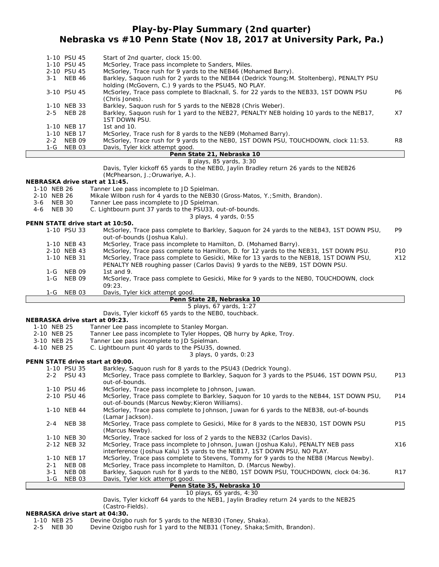## **Play-by-Play Summary (2nd quarter) Nebraska vs #10 Penn State (Nov 18, 2017 at University Park, Pa.)**

| $3 - 1$ | 1-10 PSU 45<br>1-10 PSU 45<br>2-10 PSU 45<br><b>NEB 46</b> | Start of 2nd quarter, clock 15:00.<br>McSorley, Trace pass incomplete to Sanders, Miles.<br>McSorley, Trace rush for 9 yards to the NEB46 (Mohamed Barry).<br>Barkley, Saquon rush for 2 yards to the NEB44 (Dedrick Young; M. Stoltenberg), PENALTY PSU |     |
|---------|------------------------------------------------------------|----------------------------------------------------------------------------------------------------------------------------------------------------------------------------------------------------------------------------------------------------------|-----|
|         | 3-10 PSU 45                                                | holding (McGovern, C.) 9 yards to the PSU45, NO PLAY.<br>McSorley, Trace pass complete to Blacknall, S. for 22 yards to the NEB33, 1ST DOWN PSU                                                                                                          | P6. |
|         | 1-10 NEB 33<br>2-5 NEB 28                                  | (Chris Jones).<br>Barkley, Saquon rush for 5 yards to the NEB28 (Chris Weber).<br>Barkley, Saquon rush for 1 yard to the NEB27, PENALTY NEB holding 10 yards to the NEB17,                                                                               | X7  |
|         | 1-10 NEB 17                                                | 1ST DOWN PSU.<br>1st and $10$ .                                                                                                                                                                                                                          |     |
|         | 1-10 NEB 17<br>2-2 NEB 09<br>1-G NEB 03                    | McSorley, Trace rush for 8 yards to the NEB9 (Mohamed Barry).<br>McSorley, Trace rush for 9 yards to the NEBO, 1ST DOWN PSU, TOUCHDOWN, clock 11:53.<br>Davis, Tyler kick attempt good.                                                                  | R8  |
|         |                                                            | Penn State 21, Nebraska 10                                                                                                                                                                                                                               |     |

### *8 plays, 85 yards, 3:30*

| 8 piays, 80 yarus, 3:30                                                                |  |
|----------------------------------------------------------------------------------------|--|
| Davis, Tyler kickoff 65 yards to the NEBO, Jaylin Bradley return 26 yards to the NEB26 |  |
| (McPhearson, J.; Oruwariye, A.).                                                       |  |

### **NEBRASKA drive start at 11:45.**

|             |               |               | NEBRASKA ONVE Start at TT:45.                                                             |                 |
|-------------|---------------|---------------|-------------------------------------------------------------------------------------------|-----------------|
| 1-10 NEB 26 |               |               | Tanner Lee pass incomplete to JD Spielman.                                                |                 |
| 2-10 NEB 26 |               |               | Mikale Wilbon rush for 4 yards to the NEB30 (Gross-Matos, Y.; Smith, Brandon).            |                 |
| 3-6         | NEB 30        |               | Tanner Lee pass incomplete to JD Spielman.                                                |                 |
| 4-6         | <b>NEB 30</b> |               | C. Lightbourn punt 37 yards to the PSU33, out-of-bounds.                                  |                 |
|             |               |               | 3 plays, 4 yards, 0:55                                                                    |                 |
|             |               |               | PENN STATE drive start at 10:50.                                                          |                 |
|             |               | 1-10 PSU 33   | McSorley, Trace pass complete to Barkley, Saguon for 24 yards to the NEB43, 1ST DOWN PSU, | P9              |
|             |               |               | out-of-bounds (Joshua Kalu).                                                              |                 |
|             |               | 1-10 NEB 43   | McSorley, Trace pass incomplete to Hamilton, D. (Mohamed Barry).                          |                 |
|             |               | 2-10 NEB 43   | McSorley, Trace pass complete to Hamilton, D. for 12 yards to the NEB31, 1ST DOWN PSU.    | P <sub>10</sub> |
|             |               | 1-10 NEB 31   | McSorley, Trace pass complete to Gesicki, Mike for 13 yards to the NEB18, 1ST DOWN PSU,   | X12             |
|             |               |               | PENALTY NEB roughing passer (Carlos Davis) 9 yards to the NEB9, 1ST DOWN PSU.             |                 |
|             | 1-G           | <b>NEB 09</b> | 1st and $9.$                                                                              |                 |
|             | 1-G           | <b>NEB 09</b> | McSorley, Trace pass complete to Gesicki, Mike for 9 yards to the NEBO, TOUCHDOWN, clock  |                 |
|             |               |               | 09:23.                                                                                    |                 |
|             | 1-G           | NEB 03        | Davis, Tyler kick attempt good.                                                           |                 |

#### **Penn State 28, Nebraska 10**

*5 plays, 67 yards, 1:27*

Davis, Tyler kickoff 65 yards to the NEB0, touchback.

#### **NEBRASKA drive start at 09:23.**

| 1-10 NEB 25 | Tanner Lee pass incomplete to Stanley Morgan. |
|-------------|-----------------------------------------------|
|-------------|-----------------------------------------------|

- 2-10 NEB 25 Tanner Lee pass incomplete to Tyler Hoppes, QB hurry by Apke, Troy.<br>3-10 NEB 25 Tanner Lee pass incomplete to JD Spielman.
- Tanner Lee pass incomplete to JD Spielman.
- 4-10 NEB 25 C. Lightbourn punt 40 yards to the PSU35, downed.

*3 plays, 0 yards, 0:23*

#### **PENN STATE drive start at 09:00.**

|         | 1-10 PSU 35   | Barkley, Saquon rush for 8 yards to the PSU43 (Dedrick Young).                            |                 |
|---------|---------------|-------------------------------------------------------------------------------------------|-----------------|
|         | 2-2 PSU 43    | McSorley, Trace pass complete to Barkley, Saguon for 3 yards to the PSU46, 1ST DOWN PSU,  | P <sub>13</sub> |
|         |               | out-of-bounds.                                                                            |                 |
|         | 1-10 PSU 46   | McSorley, Trace pass incomplete to Johnson, Juwan.                                        |                 |
|         | 2-10 PSU 46   | McSorley, Trace pass complete to Barkley, Saquon for 10 yards to the NEB44, 1ST DOWN PSU, | P <sub>14</sub> |
|         |               | out-of-bounds (Marcus Newby; Kieron Williams).                                            |                 |
|         | 1-10 NEB 44   | McSorley, Trace pass complete to Johnson, Juwan for 6 yards to the NEB38, out-of-bounds   |                 |
|         |               | (Lamar Jackson).                                                                          |                 |
| $2 - 4$ | <b>NEB 38</b> | McSorley, Trace pass complete to Gesicki, Mike for 8 yards to the NEB30, 1ST DOWN PSU     | P <sub>15</sub> |
|         |               | (Marcus Newby).                                                                           |                 |
|         | 1-10 NEB 30   | McSorley, Trace sacked for loss of 2 yards to the NEB32 (Carlos Davis).                   |                 |
|         | 2-12 NEB 32   | McSorley, Trace pass incomplete to Johnson, Juwan (Joshua Kalu), PENALTY NEB pass         | X16             |
|         |               | interference (Joshua Kalu) 15 yards to the NEB17, 1ST DOWN PSU, NO PLAY.                  |                 |
|         | 1-10 NEB 17   | McSorley, Trace pass complete to Stevens, Tommy for 9 yards to the NEB8 (Marcus Newby).   |                 |
| $2 - 1$ | NEB 08        | McSorley, Trace pass incomplete to Hamilton, D. (Marcus Newby).                           |                 |
| 3-1     | NEB 08        | Barkley, Saquon rush for 8 yards to the NEBO, 1ST DOWN PSU, TOUCHDOWN, clock 04:36.       | R <sub>17</sub> |
| 1-G     | NEB 03        | Davis, Tyler kick attempt good.                                                           |                 |
|         |               | .                                                                                         |                 |

#### **Penn State 35, Nebraska 10**

### *10 plays, 65 yards, 4:30*

Davis, Tyler kickoff 64 yards to the NEB1, Jaylin Bradley return 24 yards to the NEB25 (Castro-Fields).

# **NEBRASKA drive start at 04:30.**<br>1-10 NEB 25 Devine Ozigb

Devine Ozigbo rush for 5 yards to the NEB30 (Toney, Shaka).

2-5 NEB 30 Devine Ozigbo rush for 1 yard to the NEB31 (Toney, Shaka;Smith, Brandon).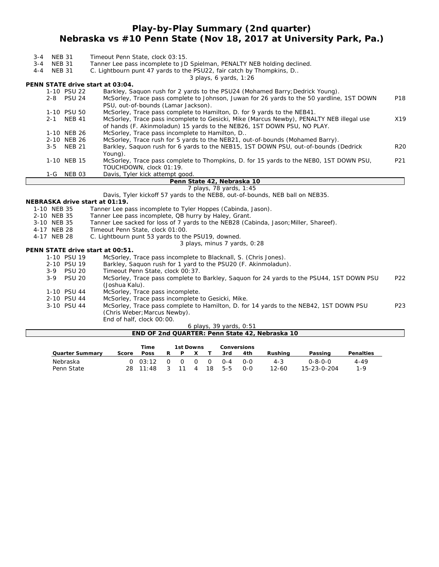## **Play-by-Play Summary (2nd quarter) Nebraska vs #10 Penn State (Nov 18, 2017 at University Park, Pa.)**

| 3-4<br>$3 - 4$<br>$4 - 4$                                                                    | <b>NEB 31</b><br><b>NEB 31</b><br><b>NEB 31</b>                                              |               | Timeout Penn State, clock 03:15.<br>Tanner Lee pass incomplete to JD Spielman, PENALTY NEB holding declined.<br>C. Lightbourn punt 47 yards to the PSU22, fair catch by Thompkins, D |            |  |  |  |  |  |  |  |
|----------------------------------------------------------------------------------------------|----------------------------------------------------------------------------------------------|---------------|--------------------------------------------------------------------------------------------------------------------------------------------------------------------------------------|------------|--|--|--|--|--|--|--|
|                                                                                              | 3 plays, 6 yards, $1:26$<br>PENN STATE drive start at 03:04.                                 |               |                                                                                                                                                                                      |            |  |  |  |  |  |  |  |
|                                                                                              | 1-10 PSU 22<br>Barkley, Saquon rush for 2 yards to the PSU24 (Mohamed Barry; Dedrick Young). |               |                                                                                                                                                                                      |            |  |  |  |  |  |  |  |
|                                                                                              |                                                                                              | 2-8 PSU 24    | McSorley, Trace pass complete to Johnson, Juwan for 26 yards to the 50 yardline, 1ST DOWN<br>PSU, out-of-bounds (Lamar Jackson).                                                     | P18        |  |  |  |  |  |  |  |
|                                                                                              |                                                                                              | 1-10 PSU 50   | McSorley, Trace pass complete to Hamilton, D. for 9 yards to the NEB41.                                                                                                              |            |  |  |  |  |  |  |  |
|                                                                                              | $2 - 1$                                                                                      | <b>NEB 41</b> | McSorley, Trace pass incomplete to Gesicki, Mike (Marcus Newby), PENALTY NEB illegal use<br>of hands (F. Akinmoladun) 15 yards to the NEB26, 1ST DOWN PSU, NO PLAY.                  | X19        |  |  |  |  |  |  |  |
| 1-10 NEB 26<br>McSorley, Trace pass incomplete to Hamilton, D                                |                                                                                              |               |                                                                                                                                                                                      |            |  |  |  |  |  |  |  |
| 2-10 NEB 26<br>McSorley, Trace rush for 5 yards to the NEB21, out-of-bounds (Mohamed Barry). |                                                                                              |               |                                                                                                                                                                                      |            |  |  |  |  |  |  |  |
|                                                                                              | $3 - 5$                                                                                      | <b>NEB 21</b> | Barkley, Saquon rush for 6 yards to the NEB15, 1ST DOWN PSU, out-of-bounds (Dedrick<br>Young).                                                                                       | <b>R20</b> |  |  |  |  |  |  |  |
|                                                                                              |                                                                                              | 1-10 NEB 15   | McSorley, Trace pass complete to Thompkins, D. for 15 yards to the NEBO, 1ST DOWN PSU,<br>TOUCHDOWN, clock 01:19.                                                                    | P21        |  |  |  |  |  |  |  |
|                                                                                              | 1-G                                                                                          | NEB 03        | Davis, Tyler kick attempt good.                                                                                                                                                      |            |  |  |  |  |  |  |  |
|                                                                                              |                                                                                              |               | Penn State 42, Nebraska 10                                                                                                                                                           |            |  |  |  |  |  |  |  |
|                                                                                              |                                                                                              |               | 7 plays, 78 yards, 1:45                                                                                                                                                              |            |  |  |  |  |  |  |  |
|                                                                                              |                                                                                              |               | Davis, Tyler kickoff 57 yards to the NEB8, out-of-bounds, NEB ball on NEB35.                                                                                                         |            |  |  |  |  |  |  |  |
|                                                                                              |                                                                                              |               | NEBRASKA drive start at 01:19.                                                                                                                                                       |            |  |  |  |  |  |  |  |
|                                                                                              | 1-10 NEB 35                                                                                  |               | Tanner Lee pass incomplete to Tyler Hoppes (Cabinda, Jason).                                                                                                                         |            |  |  |  |  |  |  |  |
|                                                                                              | 2-10 NEB 35                                                                                  |               | Tanner Lee pass incomplete, QB hurry by Haley, Grant.                                                                                                                                |            |  |  |  |  |  |  |  |
|                                                                                              | 3-10 NEB 35                                                                                  |               | Tanner Lee sacked for loss of 7 yards to the NEB28 (Cabinda, Jason; Miller, Shareef).                                                                                                |            |  |  |  |  |  |  |  |
|                                                                                              | 4-17 NEB 28                                                                                  |               | Timeout Penn State, clock 01:00.                                                                                                                                                     |            |  |  |  |  |  |  |  |
|                                                                                              | 4-17 NEB 28                                                                                  |               | C. Lightbourn punt 53 yards to the PSU19, downed.                                                                                                                                    |            |  |  |  |  |  |  |  |
|                                                                                              |                                                                                              |               | 3 plays, minus 7 yards, 0:28                                                                                                                                                         |            |  |  |  |  |  |  |  |
|                                                                                              |                                                                                              |               | PENN STATE drive start at 00:51.                                                                                                                                                     |            |  |  |  |  |  |  |  |
|                                                                                              |                                                                                              | 1-10 PSU 19   | McSorley, Trace pass incomplete to Blacknall, S. (Chris Jones).                                                                                                                      |            |  |  |  |  |  |  |  |
|                                                                                              |                                                                                              | 2-10 PSU 19   | Barkley, Saquon rush for 1 yard to the PSU20 (F. Akinmoladun).                                                                                                                       |            |  |  |  |  |  |  |  |
|                                                                                              |                                                                                              | 3-9 PSU 20    | Timeout Penn State, clock 00:37.                                                                                                                                                     |            |  |  |  |  |  |  |  |
|                                                                                              | $3 - 9$                                                                                      | <b>PSU 20</b> | McSorley, Trace pass complete to Barkley, Saquon for 24 yards to the PSU44, 1ST DOWN PSU<br>(Joshua Kalu).                                                                           | P22        |  |  |  |  |  |  |  |
|                                                                                              |                                                                                              | 1-10 PSU 44   | McSorley, Trace pass incomplete.                                                                                                                                                     |            |  |  |  |  |  |  |  |
|                                                                                              |                                                                                              | 2-10 PSU 44   | McSorley, Trace pass incomplete to Gesicki, Mike.                                                                                                                                    |            |  |  |  |  |  |  |  |
|                                                                                              |                                                                                              | 3-10 PSU 44   | McSorley, Trace pass complete to Hamilton, D. for 14 yards to the NEB42, 1ST DOWN PSU                                                                                                | P23        |  |  |  |  |  |  |  |
|                                                                                              |                                                                                              |               | (Chris Weber; Marcus Newby).                                                                                                                                                         |            |  |  |  |  |  |  |  |
|                                                                                              |                                                                                              |               | End of half, clock 00:00.                                                                                                                                                            |            |  |  |  |  |  |  |  |
|                                                                                              |                                                                                              |               | 6 plays, 39 yards, 0:51                                                                                                                                                              |            |  |  |  |  |  |  |  |
|                                                                                              |                                                                                              |               | END OF 2nd QUARTER: Penn State 42, Nebraska 10                                                                                                                                       |            |  |  |  |  |  |  |  |

|                 |       | Time<br>1st Downs |   |          |   |          |         | Conversions |           |             |                  |  |
|-----------------|-------|-------------------|---|----------|---|----------|---------|-------------|-----------|-------------|------------------|--|
| Quarter Summarv | Score | <b>Poss</b>       | R | P        |   |          | 3rd     | 4th         | Rushina   | Passing     | <b>Penalties</b> |  |
| Nebraska        |       | $0.3 \cdot 12$    |   | $\Omega$ | 0 | $\Omega$ | $0 - 4$ | <u>ດ-ດ</u>  | $4 - 3$   | Ი-8-Ი-Ი     | 4-49             |  |
| Penn State      |       | $28 \quad 11:48$  |   |          | 4 | 18       | $5 - 5$ | ი-ი         | $12 - 60$ | 15-23-0-204 | $1 - 9$          |  |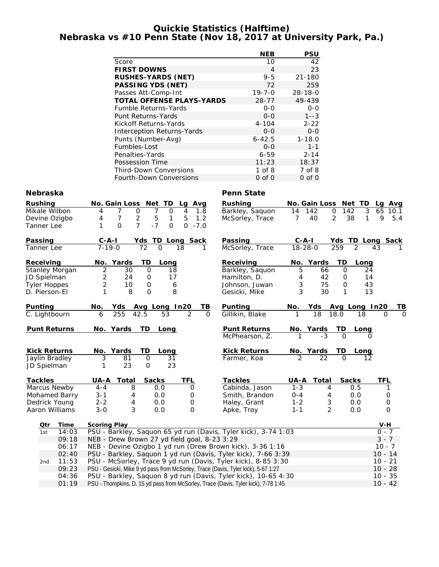### **Quickie Statistics (Halftime) Nebraska vs #10 Penn State (Nov 18, 2017 at University Park, Pa.)**

|                                   | NEB          | PSU           |
|-----------------------------------|--------------|---------------|
| Score                             | 10           | 42            |
| <b>FIRST DOWNS</b>                | 4            | 23            |
| <b>RUSHES-YARDS (NET)</b>         | $9 - 5$      | $21 - 180$    |
| <b>PASSING YDS (NET)</b>          | 72           | 259           |
| Passes Att-Comp-Int               | $19 - 7 - 0$ | $28 - 18 - 0$ |
| <b>TOTAL OFFENSE PLAYS-YARDS</b>  | 28-77        | 49-439        |
| <b>Fumble Returns-Yards</b>       | $0 - 0$      | $0 - 0$       |
| Punt Returns-Yards                | $0 - 0$      | $1 - -3$      |
| Kickoff Returns-Yards             | $4 - 104$    | $2 - 22$      |
| <b>Interception Returns-Yards</b> | $0 - 0$      | $0 - 0$       |
| Punts (Number-Avg)                | $6 - 42.5$   | $1 - 18.0$    |
| Fumbles-Lost                      | $0 - 0$      | $1 - 1$       |
| Penalties-Yards                   | $6 - 59$     | $2 - 14$      |
| Possession Time                   | 11:23        | 18:37         |
| <b>Third-Down Conversions</b>     | $1$ of $8$   | 7 of 8        |
| Fourth-Down Conversions           | 0 of 0       | $0$ of $0$    |

### **Nebraska** Penn State

| <b>Rushing</b>        |       |                     | No. Gain Loss Net TD                      |              |                  | Lg Avg                                       | <b>Rushing</b>                                                                    |                | No. Gain Loss Net TD |                    |                   | Lg Avg              |             |
|-----------------------|-------|---------------------|-------------------------------------------|--------------|------------------|----------------------------------------------|-----------------------------------------------------------------------------------|----------------|----------------------|--------------------|-------------------|---------------------|-------------|
| Mikale Wilbon         |       | 4                   | $\overline{7}$<br>$\mathbf 0$             | 7            | $\mathbf 0$      | 4<br>1.8                                     | Barkley, Saquon                                                                   | 14             | 142                  | $\mathbf 0$<br>142 | $\mathfrak{Z}$    | 65                  | 10.1        |
| Devine Ozigbo         |       | 4                   | $\overline{7}$<br>$\overline{\mathbf{c}}$ | 5            | 1                | 5<br>1.2                                     | McSorley, Trace                                                                   | $\overline{7}$ | 40                   | 2                  | 38<br>1           | 9                   | 5.4         |
| Tanner Lee            |       | 1                   | $\overline{7}$<br>$\mathbf{O}$            | $-7$         | $\mathbf 0$      | $\Omega$<br>$-7.0$                           |                                                                                   |                |                      |                    |                   |                     |             |
| Passing               |       | $C - A - I$         |                                           |              |                  | Yds TD Long Sack                             | Passing                                                                           | $C-A-I$        |                      |                    | Yds TD Long Sack  |                     |             |
| Tanner Lee            |       | $7 - 19 - 0$        |                                           | 72           | $\Omega$         | 18                                           | McSorley, Trace                                                                   | $18 - 28 - 0$  |                      | 259                | 2                 | 43                  |             |
| Receiving             |       |                     | No. Yards                                 | TD           | Long             |                                              | Receiving                                                                         |                | No. Yards            | TD                 | Long              |                     |             |
| <b>Stanley Morgan</b> |       | $\overline{2}$      | 30                                        | $\mathbf 0$  | 18               |                                              | Barkley, Saquon                                                                   | 5              | 66                   | $\mathbf 0$        | 24                |                     |             |
| JD Spielman           |       | $\overline{c}$      | 24                                        | 0            | 17               |                                              | Hamilton, D.                                                                      | 4              | 42                   | 0                  | 14                |                     |             |
| <b>Tyler Hoppes</b>   |       | $\overline{2}$      | 10                                        | $\mathbf 0$  | $\boldsymbol{6}$ |                                              | Johnson, Juwan                                                                    | 3              | 75                   | $\mathbf 0$        | 43                |                     |             |
| D. Pierson-El         |       | 1                   | 8                                         | $\mathbf 0$  | 8                |                                              | Gesicki, Mike                                                                     | 3              | 30                   | 1                  | 13                |                     |             |
| Punting               |       | No.                 | Yds Avg Long In20                         |              |                  | TВ                                           | <b>Punting</b>                                                                    | No.            | Yds                  |                    | Avg Long In20     |                     | <u>ТВ</u>   |
| C. Lightbourn         |       | 6                   | 255                                       | 42.5         | 53               | $\overline{2}$<br>$\Omega$                   | Gillikin, Blake                                                                   | 1              | 18                   | 18.0               | 18                | O                   | $\mathbf 0$ |
| <b>Punt Returns</b>   |       |                     | No. Yards                                 | TD           | Long             |                                              | <b>Punt Returns</b>                                                               |                | No. Yards            | TD                 | Long              |                     |             |
|                       |       |                     |                                           |              |                  |                                              | McPhearson, Z.                                                                    | 1              | $-3$                 | $\Omega$           | 0                 |                     |             |
| <b>Kick Returns</b>   |       |                     | No. Yards                                 | TD           | Long             |                                              | <b>Kick Returns</b>                                                               |                | No. Yards            | TD                 | Long              |                     |             |
| Jaylin Bradley        |       | 3                   | 81                                        | $\mathbf 0$  | 31               |                                              | Farmer, Koa                                                                       | $\overline{2}$ | 22                   | $\Omega$           | $12 \overline{ }$ |                     |             |
| JD Spielman           |       | 1                   | 23                                        | $\mathbf 0$  | 23               |                                              |                                                                                   |                |                      |                    |                   |                     |             |
| <b>Tackles</b>        |       | UA-A                | Total                                     | <b>Sacks</b> |                  | TFL                                          | <b>Tackles</b>                                                                    | UA-A           | Total                |                    | <b>Sacks</b>      | <b>TFL</b>          |             |
| Marcus Newby          |       | $4 - 4$             | $8\,$                                     |              | 0.0              | $\mathbf 0$                                  | Cabinda, Jason                                                                    | $1 - 3$        | 4                    |                    | 0.5               | 1                   |             |
| Mohamed Barry         |       | $3 - 1$             | 4                                         |              | 0.0              | 0                                            | Smith, Brandon                                                                    | $0 - 4$        | 4                    |                    | 0.0               | $\mathsf{O}\xspace$ |             |
| Dedrick Young         |       | $2 - 2$             | 4                                         |              | 0.0              | 0                                            | Haley, Grant                                                                      | $1 - 2$        | 3                    |                    | 0.0               | $\mbox{O}$          |             |
| Aaron Williams        |       | $3 - 0$             | 3                                         |              | 0.0              | 0                                            | Apke, Troy                                                                        | $1 - 1$        | $\overline{2}$       |                    | 0.0               | $\mathbf 0$         |             |
| Qtr                   | Time  | <b>Scoring Play</b> |                                           |              |                  |                                              |                                                                                   |                |                      |                    |                   | V-H                 |             |
| 1st                   | 14:03 |                     |                                           |              |                  |                                              | PSU - Barkley, Saquon 65 yd run (Davis, Tyler kick), 3-74 1:03                    |                |                      |                    |                   | $0 - 7$             |             |
|                       | 09:18 |                     |                                           |              |                  | NEB - Drew Brown 27 yd field goal, 8-23 3:29 |                                                                                   |                |                      |                    |                   | $3 - 7$             |             |
|                       | 06:17 |                     |                                           |              |                  |                                              | NEB - Devine Ozigbo 1 yd run (Drew Brown kick), 3-36 1:16                         |                |                      |                    |                   | $10 - 7$            |             |
|                       | 02:40 |                     |                                           |              |                  |                                              | PSU - Barkley, Saquon 1 yd run (Davis, Tyler kick), 7-66 3:39                     |                |                      |                    |                   | $10 - 14$           |             |
| 2nd                   | 11:53 |                     |                                           |              |                  |                                              | PSU - McSorley, Trace 9 yd run (Davis, Tyler kick), 8-85 3:30                     |                |                      |                    |                   | $10 - 21$           |             |
|                       | 09:23 |                     |                                           |              |                  |                                              | PSU - Gesicki, Mike 9 yd pass from McSorley, Trace (Davis, Tyler kick), 5-67 1:27 |                |                      |                    |                   | $10 - 28$           |             |

04:36 PSU - Barkley, Saquon 8 yd run (Davis, Tyler kick), 10-65 4:30 10 - 35 04:36 PSU - Barkley, Saquon 8 yd run (Davis, Tyler kick), 10-65 4:30<br>01:19 PSU - Thompkins, D. 15 yd pass from McSorley, Trace (Davis, Tyler kick), 7-78 1:45 10 - 12 10 - 42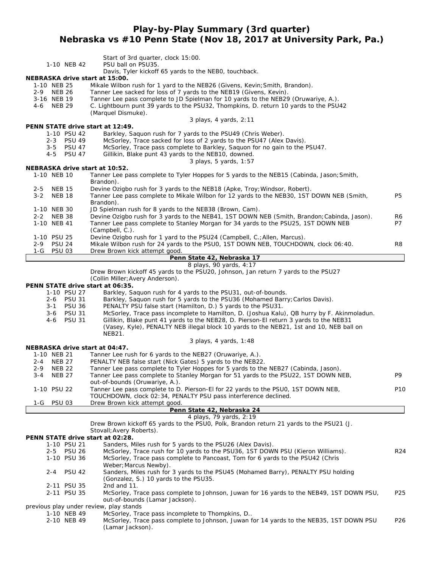## **Play-by-Play Summary (3rd quarter) Nebraska vs #10 Penn State (Nov 18, 2017 at University Park, Pa.)**

| 1-10 NEB 42<br>NEBRASKA drive start at 15:00.<br>1-10 NEB 25<br>2-9 NEB 26<br>3-16 NEB 19<br><b>NEB 29</b><br>4-6                                   | Start of 3rd quarter, clock 15:00.<br>PSU ball on PSU35.<br>Davis, Tyler kickoff 65 yards to the NEBO, touchback.<br>Mikale Wilbon rush for 1 yard to the NEB26 (Givens, Kevin; Smith, Brandon).<br>Tanner Lee sacked for loss of 7 yards to the NEB19 (Givens, Kevin).<br>Tanner Lee pass complete to JD Spielman for 10 yards to the NEB29 (Oruwariye, A.).<br>C. Lightbourn punt 39 yards to the PSU32, Thompkins, D. return 10 yards to the PSU42<br>(Marquel Dismuke).<br>3 plays, 4 yards, 2:11                                                                                                                                                                |                 |
|-----------------------------------------------------------------------------------------------------------------------------------------------------|----------------------------------------------------------------------------------------------------------------------------------------------------------------------------------------------------------------------------------------------------------------------------------------------------------------------------------------------------------------------------------------------------------------------------------------------------------------------------------------------------------------------------------------------------------------------------------------------------------------------------------------------------------------------|-----------------|
| PENN STATE drive start at 12:49.                                                                                                                    |                                                                                                                                                                                                                                                                                                                                                                                                                                                                                                                                                                                                                                                                      |                 |
| 1-10 PSU 42<br>2-3 PSU 49<br>3-5 PSU 47<br>4-5 PSU 47                                                                                               | Barkley, Saquon rush for 7 yards to the PSU49 (Chris Weber).<br>McSorley, Trace sacked for loss of 2 yards to the PSU47 (Alex Davis).<br>McSorley, Trace pass complete to Barkley, Saquon for no gain to the PSU47.<br>Gillikin, Blake punt 43 yards to the NEB10, downed.<br>3 plays, 5 yards, 1:57                                                                                                                                                                                                                                                                                                                                                                 |                 |
| NEBRASKA drive start at 10:52.                                                                                                                      |                                                                                                                                                                                                                                                                                                                                                                                                                                                                                                                                                                                                                                                                      |                 |
| 1-10 NEB 10                                                                                                                                         | Tanner Lee pass complete to Tyler Hoppes for 5 yards to the NEB15 (Cabinda, Jason; Smith,<br>Brandon).                                                                                                                                                                                                                                                                                                                                                                                                                                                                                                                                                               |                 |
| <b>NEB 15</b><br>$2 - 5$<br><b>NEB 18</b><br>$3 - 2$                                                                                                | Devine Ozigbo rush for 3 yards to the NEB18 (Apke, Troy; Windsor, Robert).<br>Tanner Lee pass complete to Mikale Wilbon for 12 yards to the NEB30, 1ST DOWN NEB (Smith,<br>Brandon).                                                                                                                                                                                                                                                                                                                                                                                                                                                                                 | P5              |
| 1-10 NEB 30                                                                                                                                         | JD Spielman rush for 8 yards to the NEB38 (Brown, Cam).                                                                                                                                                                                                                                                                                                                                                                                                                                                                                                                                                                                                              |                 |
| 2-2 NEB 38<br>1-10 NEB 41                                                                                                                           | Devine Ozigbo rush for 3 yards to the NEB41, 1ST DOWN NEB (Smith, Brandon; Cabinda, Jason).<br>Tanner Lee pass complete to Stanley Morgan for 34 yards to the PSU25, 1ST DOWN NEB<br>(Campbell, C.).                                                                                                                                                                                                                                                                                                                                                                                                                                                                 | R6<br>P7        |
| 1-10 PSU 25<br><b>PSU 24</b><br>$2 - 9$                                                                                                             | Devine Ozigbo rush for 1 yard to the PSU24 (Campbell, C.; Allen, Marcus).<br>Mikale Wilbon rush for 24 yards to the PSU0, 1ST DOWN NEB, TOUCHDOWN, clock 06:40.                                                                                                                                                                                                                                                                                                                                                                                                                                                                                                      | R8              |
| <b>PSU 03</b><br>1-G                                                                                                                                | Drew Brown kick attempt good.<br>Penn State 42, Nebraska 17                                                                                                                                                                                                                                                                                                                                                                                                                                                                                                                                                                                                          |                 |
|                                                                                                                                                     | 8 plays, 90 yards, 4:17                                                                                                                                                                                                                                                                                                                                                                                                                                                                                                                                                                                                                                              |                 |
| PENN STATE drive start at 06:35.<br>1-10 PSU 27<br><b>PSU 31</b><br>$2 - 6$<br><b>PSU 36</b><br>3-1<br><b>PSU 31</b><br>3-6<br><b>PSU 31</b><br>4-6 | Drew Brown kickoff 45 yards to the PSU20, Johnson, Jan return 7 yards to the PSU27<br>(Collin Miller; Avery Anderson).<br>Barkley, Saquon rush for 4 yards to the PSU31, out-of-bounds.<br>Barkley, Saguon rush for 5 yards to the PSU36 (Mohamed Barry; Carlos Davis).<br>PENALTY PSU false start (Hamilton, D.) 5 yards to the PSU31.<br>McSorley, Trace pass incomplete to Hamilton, D. (Joshua Kalu), QB hurry by F. Akinmoladun.<br>Gillikin, Blake punt 41 yards to the NEB28, D. Pierson-El return 3 yards to the NEB31<br>(Vasey, Kyle), PENALTY NEB illegal block 10 yards to the NEB21, 1st and 10, NEB ball on<br><b>NEB21.</b><br>3 plays, 4 yards, 1:48 |                 |
| NEBRASKA drive start at 04:47.                                                                                                                      |                                                                                                                                                                                                                                                                                                                                                                                                                                                                                                                                                                                                                                                                      |                 |
| 1-10 NEB 21                                                                                                                                         | Tanner Lee rush for 6 yards to the NEB27 (Oruwariye, A.).                                                                                                                                                                                                                                                                                                                                                                                                                                                                                                                                                                                                            |                 |
| 2-4<br><b>NEB 27</b>                                                                                                                                | PENALTY NEB false start (Nick Gates) 5 yards to the NEB22.                                                                                                                                                                                                                                                                                                                                                                                                                                                                                                                                                                                                           |                 |
| 2-9<br><b>NEB 22</b>                                                                                                                                | Tanner Lee pass complete to Tyler Hoppes for 5 yards to the NEB27 (Cabinda, Jason).                                                                                                                                                                                                                                                                                                                                                                                                                                                                                                                                                                                  |                 |
| <b>NEB 27</b><br>3-4                                                                                                                                | Tanner Lee pass complete to Stanley Morgan for 51 yards to the PSU22, 1ST DOWN NEB,<br>out-of-bounds (Oruwariye, A.).                                                                                                                                                                                                                                                                                                                                                                                                                                                                                                                                                | P9              |
| 1-10 PSU 22                                                                                                                                         | Tanner Lee pass complete to D. Pierson-El for 22 yards to the PSU0, 1ST DOWN NEB,<br>TOUCHDOWN, clock 02:34, PENALTY PSU pass interference declined.                                                                                                                                                                                                                                                                                                                                                                                                                                                                                                                 | P <sub>10</sub> |
| 1-G PSU 03                                                                                                                                          | Drew Brown kick attempt good.                                                                                                                                                                                                                                                                                                                                                                                                                                                                                                                                                                                                                                        |                 |
|                                                                                                                                                     | Penn State 42, Nebraska 24<br>4 plays, 79 yards, 2:19                                                                                                                                                                                                                                                                                                                                                                                                                                                                                                                                                                                                                |                 |
|                                                                                                                                                     | Drew Brown kickoff 65 yards to the PSU0, Polk, Brandon return 21 yards to the PSU21 (J.<br>Stovall; Avery Roberts).                                                                                                                                                                                                                                                                                                                                                                                                                                                                                                                                                  |                 |
| PENN STATE drive start at 02:28.                                                                                                                    |                                                                                                                                                                                                                                                                                                                                                                                                                                                                                                                                                                                                                                                                      |                 |
| 1-10 PSU 21<br>2-5 PSU 26                                                                                                                           | Sanders, Miles rush for 5 yards to the PSU26 (Alex Davis).<br>McSorley, Trace rush for 10 yards to the PSU36, 1ST DOWN PSU (Kieron Williams).                                                                                                                                                                                                                                                                                                                                                                                                                                                                                                                        | R <sub>24</sub> |
| 1-10 PSU 36                                                                                                                                         | McSorley, Trace pass complete to Pancoast, Tom for 6 yards to the PSU42 (Chris<br>Weber; Marcus Newby).                                                                                                                                                                                                                                                                                                                                                                                                                                                                                                                                                              |                 |
| <b>PSU 42</b><br>$2 - 4$                                                                                                                            | Sanders, Miles rush for 3 yards to the PSU45 (Mohamed Barry), PENALTY PSU holding<br>(Gonzalez, S.) 10 yards to the PSU35.                                                                                                                                                                                                                                                                                                                                                                                                                                                                                                                                           |                 |
| 2-11 PSU 35                                                                                                                                         | 2nd and 11.                                                                                                                                                                                                                                                                                                                                                                                                                                                                                                                                                                                                                                                          |                 |
| 2-11 PSU 35<br>previous play under review, play stands                                                                                              | McSorley, Trace pass complete to Johnson, Juwan for 16 yards to the NEB49, 1ST DOWN PSU,<br>out-of-bounds (Lamar Jackson).                                                                                                                                                                                                                                                                                                                                                                                                                                                                                                                                           | P <sub>25</sub> |
| 1-10 NEB 49                                                                                                                                         | McSorley, Trace pass incomplete to Thompkins, D                                                                                                                                                                                                                                                                                                                                                                                                                                                                                                                                                                                                                      |                 |
| 2-10 NEB 49                                                                                                                                         | McSorley, Trace pass complete to Johnson, Juwan for 14 yards to the NEB35, 1ST DOWN PSU<br>(Lamar Jackson).                                                                                                                                                                                                                                                                                                                                                                                                                                                                                                                                                          | P <sub>26</sub> |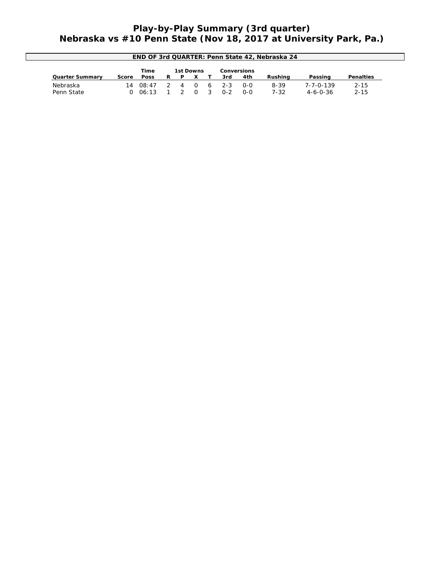## **Play-by-Play Summary (3rd quarter) Nebraska vs #10 Penn State (Nov 18, 2017 at University Park, Pa.)**

| END OF 3rd QUARTER: Penn State 42, Nebraska 24 |       |             |    |                  |          |   |         |                    |          |                   |           |
|------------------------------------------------|-------|-------------|----|------------------|----------|---|---------|--------------------|----------|-------------------|-----------|
|                                                |       | Time        |    | <b>1st Downs</b> |          |   |         | <b>Conversions</b> |          |                   |           |
| <b>Quarter Summary</b>                         | Score | <b>Poss</b> | R. | D.               |          |   | 3rd     | 4th                | Rushina  | Passing           | Penalties |
| Nebraska                                       | 14    | 08:47       |    | 4                | $\Omega$ | 6 | $2 - 3$ | $O-O$              | $8 - 39$ | $7 - 7 - 0 - 139$ | $2 - 15$  |
| Penn State                                     |       | 06:13       |    |                  | $\cap$   |   | በ-2     | 0-0                | $7 - 32$ | $4 - 6 - 0 - 36$  | $2 - 15$  |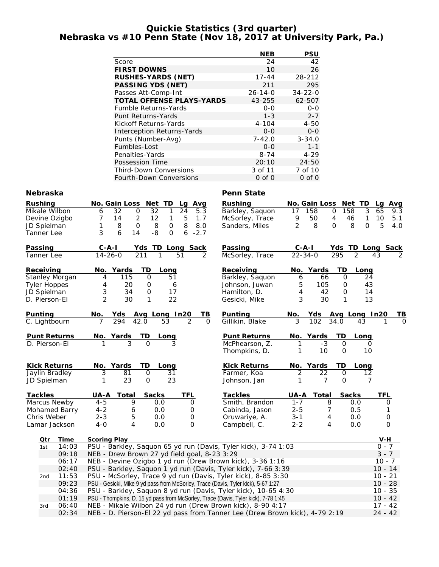### **Quickie Statistics (3rd quarter) Nebraska vs #10 Penn State (Nov 18, 2017 at University Park, Pa.)**

|                                   | <b>NEB</b>    | PSU           |
|-----------------------------------|---------------|---------------|
| Score                             | 24            | 42            |
| <b>FIRST DOWNS</b>                | 10            | 26            |
| <b>RUSHES-YARDS (NET)</b>         | $17 - 44$     | 28-212        |
| <b>PASSING YDS (NET)</b>          | 211           | 295           |
| Passes Att-Comp-Int               | $26 - 14 - 0$ | $34 - 22 - 0$ |
| <b>TOTAL OFFENSE PLAYS-YARDS</b>  | 43-255        | 62-507        |
| <b>Fumble Returns-Yards</b>       | $0 - 0$       | $0 - 0$       |
| <b>Punt Returns-Yards</b>         | $1 - 3$       | $2 - 7$       |
| Kickoff Returns-Yards             | $4 - 104$     | $4 - 50$      |
| <b>Interception Returns-Yards</b> | $0 - 0$       | $0 - 0$       |
| Punts (Number-Avg)                | $7 - 42.0$    | $3 - 34.0$    |
| Fumbles-Lost                      | $0 - 0$       | $1 - 1$       |
| Penalties-Yards                   | $8 - 74$      | $4 - 29$      |
| Possession Time                   | 20:10         | 24:50         |
| <b>Third-Down Conversions</b>     | 3 of 11       | 7 of 10       |
| <b>Fourth-Down Conversions</b>    | 0 of 0        | $0$ of $0$    |

### **Nebraska** Penn State

| <b>Rushing</b> |                     | No. Gain Loss Net TD<br>Lg<br>Avg                                                  | <b>Rushing</b>              |                     | No. Gain Loss Net TD                 | Lg Avg       |  |
|----------------|---------------------|------------------------------------------------------------------------------------|-----------------------------|---------------------|--------------------------------------|--------------|--|
|                | Mikale Wilbon       | 32<br>$\mathbf 0$<br>32<br>24<br>5.3<br>6<br>1                                     | Barkley, Saquon             | 17<br>158           | 3<br>158<br>0                        | 65<br>9.3    |  |
|                | Devine Ozigbo       | 7<br>14<br>2<br>12<br>$\mathbf{1}$<br>5<br>1.7                                     | McSorley, Trace             | 9<br>50             | $\overline{4}$<br>$\mathbf{1}$<br>46 | 10<br>5.1    |  |
|                | JD Spielman         | 8<br>1<br>8<br>$\mathbf 0$<br>8<br>$\mathbf 0$<br>8.0                              | Sanders, Miles              | $\overline{2}$<br>8 | 8<br>$\Omega$<br>$\Omega$            | 5<br>4.0     |  |
|                | Tanner Lee          | $-8$<br>3<br>6<br>6<br>$-2.7$<br>14<br>$\mathbf 0$                                 |                             |                     |                                      |              |  |
| Passing        |                     | $C-A-I$<br>Yds TD Long Sack                                                        | Passing                     | $C - A - I$         | Yds TD Long Sack                     |              |  |
|                | Tanner Lee          | $14 - 26 - 0$<br>211<br>$\mathcal{P}$<br>1<br>51                                   | McSorley, Trace             | $22 - 34 - 0$       | 295<br>2                             | 43           |  |
| Receiving      |                     | No. Yards<br>TD<br>Long                                                            | Receiving                   | No. Yards           | TD<br>Long                           |              |  |
|                | Stanley Morgan      | 115<br>$\mathbf 0$<br>51<br>4                                                      | Barkley, Saquon             | 66<br>6             | 24<br>0                              |              |  |
|                | <b>Tyler Hoppes</b> | 20<br>4<br>0<br>6                                                                  | Johnson, Juwan              | 105<br>5            | 43<br>0                              |              |  |
|                | JD Spielman         | 3<br>34<br>$\mathsf{O}$<br>17                                                      | Hamilton, D.                | 4<br>42             | $\mathbf 0$<br>14                    |              |  |
|                | D. Pierson-El       | $\overline{2}$<br>22<br>30<br>1                                                    | Gesicki, Mike               | 3<br>30             | 13<br>$\mathbf{1}$                   |              |  |
| Punting        |                     | Yds Avg Long In20<br>No.                                                           | Punting<br><u>ТВ</u>        | No.<br>Yds          | Avg Long In20                        | TВ           |  |
|                | C. Lightbourn       | $\overline{2}$<br>7<br>294<br>42.0<br>53                                           | Gillikin, Blake<br>$\Omega$ | 3<br>102            | 34.0<br>43                           | 0            |  |
|                | <b>Punt Returns</b> | No. Yards<br>TD<br><b>Long</b>                                                     | <b>Punt Returns</b>         | No. Yards           | TD<br>Long                           |              |  |
|                | D. Pierson-El       | $\Omega$                                                                           | McPhearson, Z.              | $-3$                | $\mathbf 0$                          | O            |  |
|                |                     |                                                                                    | Thompkins, D.               | 10<br>1             | 10<br>$\mathbf{O}$                   |              |  |
|                | <b>Kick Returns</b> | No. Yards<br>TD<br>Long                                                            | <b>Kick Returns</b>         | No. Yards           | TD<br>Long                           |              |  |
|                | Jaylin Bradley      | 3<br>81<br>$\mathbf 0$<br>31                                                       | Farmer, Koa                 | 2<br>22             | $\mathbf{O}$<br>12                   |              |  |
|                | JD Spielman         | 23<br>23<br>1<br>$\mathbf 0$                                                       | Johnson, Jan                | 7<br>1              | $\mathbf{O}$                         | 7            |  |
| <b>Tackles</b> |                     | UA-A<br><b>Sacks</b><br><b>TFL</b><br>Total                                        | <b>Tackles</b>              | UA-A<br>Total       | <b>Sacks</b>                         | <b>TFL</b>   |  |
|                | Marcus Newby        | 9<br>$4 - 5$<br>0.0<br>0                                                           | Smith, Brandon              | $1 - 7$             | 8<br>0.0                             | 0            |  |
|                | Mohamed Barry       | $4 - 2$<br>0.0<br>0<br>6                                                           | Cabinda, Jason              | $2 - 5$             | 7<br>0.5                             | $\mathbf{1}$ |  |
|                | Chris Weber         | $2 - 3$<br>5<br>0.0<br>0                                                           | Oruwariye, A.               | $3 - 1$             | 0.0<br>4                             | $\mathbf 0$  |  |
|                | Lamar Jackson       | $4 - 0$<br>4<br>0.0<br>$\Omega$                                                    | Campbell, C.                | $2 - 2$             | 0.0<br>4                             | $\mathbf 0$  |  |
|                | Time<br>Otr         | <b>Scoring Play</b>                                                                |                             |                     |                                      | $V-H$        |  |
| 1st            | 14:03               | PSU - Barkley, Saquon 65 yd run (Davis, Tyler kick), 3-74 1:03                     |                             |                     |                                      | 0 - 7        |  |
|                | 09:18               | NEB - Drew Brown 27 yd field goal, 8-23 3:29                                       |                             |                     |                                      | $3 - 7$      |  |
|                | 06:17               | NEB - Devine Ozigbo 1 yd run (Drew Brown kick), 3-36 1:16                          |                             |                     |                                      | $10 - 7$     |  |
|                | 02:40               | PSU - Barkley, Saquon 1 yd run (Davis, Tyler kick), 7-66 3:39                      |                             |                     |                                      | $10 - 14$    |  |
|                | 11:53<br>2nd        | PSU - McSorley, Trace 9 yd run (Davis, Tyler kick), 8-85 3:30                      |                             |                     |                                      | $10 - 21$    |  |
|                | 09:23               | PSU - Gesicki, Mike 9 yd pass from McSorley, Trace (Davis, Tyler kick), 5-67 1:27  |                             |                     |                                      | $10 - 28$    |  |
|                | 04:36               | PSU - Barkley, Saquon 8 yd run (Davis, Tyler kick), 10-65 4:30                     |                             |                     |                                      | $10 - 35$    |  |
|                | 01:19               | PSU - Thompkins, D. 15 yd pass from McSorley, Trace (Davis, Tyler kick), 7-78 1:45 |                             |                     |                                      | $10 - 42$    |  |
|                | 06:40<br>3rd        | NEB - Mikale Wilbon 24 yd run (Drew Brown kick), 8-90 4:17                         |                             |                     |                                      | $17 - 42$    |  |
|                | 02:34               | NEB - D. Pierson-El 22 yd pass from Tanner Lee (Drew Brown kick), 4-79 2:19        |                             |                     |                                      | $24 - 42$    |  |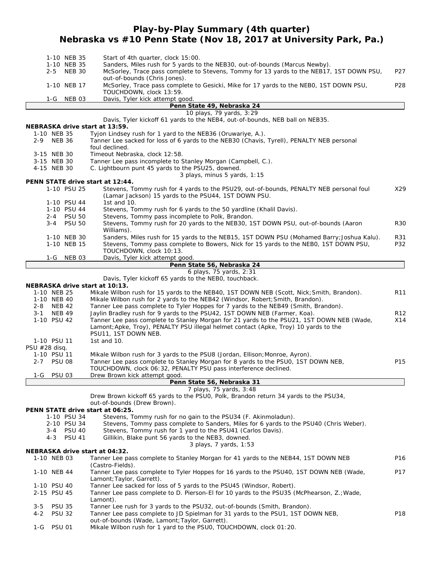## **Play-by-Play Summary (4th quarter) Nebraska vs #10 Penn State (Nov 18, 2017 at University Park, Pa.)**

| 1-10 NEB 35                    |               | Start of 4th quarter, clock 15:00.                                                                                                                                                |                 |
|--------------------------------|---------------|-----------------------------------------------------------------------------------------------------------------------------------------------------------------------------------|-----------------|
| 1-10 NEB 35                    |               | Sanders, Miles rush for 5 yards to the NEB30, out-of-bounds (Marcus Newby).                                                                                                       |                 |
| 2-5 NEB 30                     |               | McSorley, Trace pass complete to Stevens, Tommy for 13 yards to the NEB17, 1ST DOWN PSU,                                                                                          | P <sub>27</sub> |
|                                |               | out-of-bounds (Chris Jones).                                                                                                                                                      |                 |
| 1-10 NEB 17                    |               | McSorley, Trace pass complete to Gesicki, Mike for 17 yards to the NEB0, 1ST DOWN PSU,<br>TOUCHDOWN, clock 13:59.                                                                 | P <sub>28</sub> |
| 1-G NEB 03                     |               | Davis, Tyler kick attempt good.                                                                                                                                                   |                 |
|                                |               | Penn State 49, Nebraska 24                                                                                                                                                        |                 |
|                                |               | 10 plays, 79 yards, 3:29                                                                                                                                                          |                 |
|                                |               | Davis, Tyler kickoff 61 yards to the NEB4, out-of-bounds, NEB ball on NEB35.                                                                                                      |                 |
| NEBRASKA drive start at 13:59. |               |                                                                                                                                                                                   |                 |
| 1-10 NEB 35                    |               | Tyjon Lindsey rush for 1 yard to the NEB36 (Oruwariye, A.).                                                                                                                       |                 |
| 2-9 NEB 36                     |               | Tanner Lee sacked for loss of 6 yards to the NEB30 (Chavis, Tyrell), PENALTY NEB personal                                                                                         |                 |
| 3-15 NEB 30                    |               | foul declined.<br>Timeout Nebraska, clock 12:58.                                                                                                                                  |                 |
| 3-15 NEB 30                    |               | Tanner Lee pass incomplete to Stanley Morgan (Campbell, C.).                                                                                                                      |                 |
| 4-15 NEB 30                    |               | C. Lightbourn punt 45 yards to the PSU25, downed.                                                                                                                                 |                 |
|                                |               | 3 plays, minus 5 yards, 1:15                                                                                                                                                      |                 |
|                                |               | PENN STATE drive start at 12:44.                                                                                                                                                  |                 |
| 1-10 PSU 25                    |               | Stevens, Tommy rush for 4 yards to the PSU29, out-of-bounds, PENALTY NEB personal foul                                                                                            | X29             |
|                                |               | (Lamar Jackson) 15 yards to the PSU44, 1ST DOWN PSU.                                                                                                                              |                 |
| 1-10 PSU 44<br>1-10 PSU 44     |               | 1st and 10.<br>Stevens, Tommy rush for 6 yards to the 50 yardline (Khalil Davis).                                                                                                 |                 |
| 2-4 PSU 50                     |               | Stevens, Tommy pass incomplete to Polk, Brandon.                                                                                                                                  |                 |
| 3-4                            | <b>PSU 50</b> | Stevens, Tommy rush for 20 yards to the NEB30, 1ST DOWN PSU, out-of-bounds (Aaron                                                                                                 | <b>R30</b>      |
|                                |               | Williams).                                                                                                                                                                        |                 |
| 1-10 NEB 30                    |               | Sanders, Miles rush for 15 yards to the NEB15, 1ST DOWN PSU (Mohamed Barry; Joshua Kalu).                                                                                         | R31             |
| 1-10 NEB 15                    |               | Stevens, Tommy pass complete to Bowers, Nick for 15 yards to the NEBO, 1ST DOWN PSU,                                                                                              | P32             |
|                                |               | TOUCHDOWN, clock 10:13.                                                                                                                                                           |                 |
| 1-G                            | NEB 03        | Davis, Tyler kick attempt good.                                                                                                                                                   |                 |
|                                |               | Penn State 56, Nebraska 24<br>6 plays, 75 yards, 2:31                                                                                                                             |                 |
|                                |               | Davis, Tyler kickoff 65 yards to the NEBO, touchback.                                                                                                                             |                 |
| NEBRASKA drive start at 10:13. |               |                                                                                                                                                                                   |                 |
| 1-10 NEB 25                    |               | Mikale Wilbon rush for 15 yards to the NEB40, 1ST DOWN NEB (Scott, Nick; Smith, Brandon).                                                                                         | R <sub>11</sub> |
| 1-10 NEB 40                    |               | Mikale Wilbon rush for 2 yards to the NEB42 (Windsor, Robert; Smith, Brandon).                                                                                                    |                 |
| <b>NEB 42</b><br>2-8           |               | Tanner Lee pass complete to Tyler Hoppes for 7 yards to the NEB49 (Smith, Brandon).                                                                                               |                 |
| <b>NEB 49</b><br>3-1           |               | Jaylin Bradley rush for 9 yards to the PSU42, 1ST DOWN NEB (Farmer, Koa).                                                                                                         | R <sub>12</sub> |
| 1-10 PSU 42                    |               | Tanner Lee pass complete to Stanley Morgan for 21 yards to the PSU21, 1ST DOWN NEB (Wade,<br>Lamont; Apke, Troy), PENALTY PSU illegal helmet contact (Apke, Troy) 10 yards to the | X14             |
|                                |               | PSU11, 1ST DOWN NEB.                                                                                                                                                              |                 |
| 1-10 PSU 11                    |               | 1st and 10.                                                                                                                                                                       |                 |
| PSU #28 disq.                  |               |                                                                                                                                                                                   |                 |
| 1-10 PSU 11                    |               | Mikale Wilbon rush for 3 yards to the PSU8 (Jordan, Ellison; Monroe, Ayron).                                                                                                      |                 |
| 2-7 PSU 08                     |               | Tanner Lee pass complete to Stanley Morgan for 8 yards to the PSU0, 1ST DOWN NEB,                                                                                                 | P <sub>15</sub> |
|                                |               | TOUCHDOWN, clock 06:32, PENALTY PSU pass interference declined.                                                                                                                   |                 |
| <b>PSU 03</b><br>$1-G$         |               | Drew Brown kick attempt good.                                                                                                                                                     |                 |
|                                |               | Penn State 56, Nebraska 31<br>7 plays, 75 yards, 3:48                                                                                                                             |                 |
|                                |               | Drew Brown kickoff 65 yards to the PSU0, Polk, Brandon return 34 yards to the PSU34,                                                                                              |                 |
|                                |               | out-of-bounds (Drew Brown).                                                                                                                                                       |                 |
|                                |               | PENN STATE drive start at 06:25.                                                                                                                                                  |                 |
| 1-10 PSU 34                    |               | Stevens, Tommy rush for no gain to the PSU34 (F. Akinmoladun).                                                                                                                    |                 |
| 2-10 PSU 34                    |               | Stevens, Tommy pass complete to Sanders, Miles for 6 yards to the PSU40 (Chris Weber).                                                                                            |                 |
| 3-4 PSU 40                     |               | Stevens, Tommy rush for 1 yard to the PSU41 (Carlos Davis).<br>Gillikin, Blake punt 56 yards to the NEB3, downed.                                                                 |                 |
| $4 - 3$                        | <b>PSU 41</b> | 3 plays, 7 yards, 1:53                                                                                                                                                            |                 |
| NEBRASKA drive start at 04:32. |               |                                                                                                                                                                                   |                 |
| 1-10 NEB 03                    |               | Tanner Lee pass complete to Stanley Morgan for 41 yards to the NEB44, 1ST DOWN NEB                                                                                                | P <sub>16</sub> |
|                                |               | (Castro-Fields).                                                                                                                                                                  |                 |
| 1-10 NEB 44                    |               | Tanner Lee pass complete to Tyler Hoppes for 16 yards to the PSU40, 1ST DOWN NEB (Wade,                                                                                           | P17             |
|                                |               | Lamont; Taylor, Garrett).                                                                                                                                                         |                 |
| 1-10 PSU 40                    |               | Tanner Lee sacked for loss of 5 yards to the PSU45 (Windsor, Robert).                                                                                                             |                 |
| 2-15 PSU 45                    |               | Tanner Lee pass complete to D. Pierson-El for 10 yards to the PSU35 (McPhearson, Z.; Wade,<br>Lamont).                                                                            |                 |
| 3-5<br><b>PSU 35</b>           |               | Tanner Lee rush for 3 yards to the PSU32, out-of-bounds (Smith, Brandon).                                                                                                         |                 |
| 4-2<br><b>PSU 32</b>           |               | Tanner Lee pass complete to JD Spielman for 31 yards to the PSU1, 1ST DOWN NEB,                                                                                                   | P <sub>18</sub> |
|                                |               | out-of-bounds (Wade, Lamont; Taylor, Garrett).                                                                                                                                    |                 |
| <b>PSU 01</b><br>1-G           |               | Mikale Wilbon rush for 1 yard to the PSU0, TOUCHDOWN, clock 01:20.                                                                                                                |                 |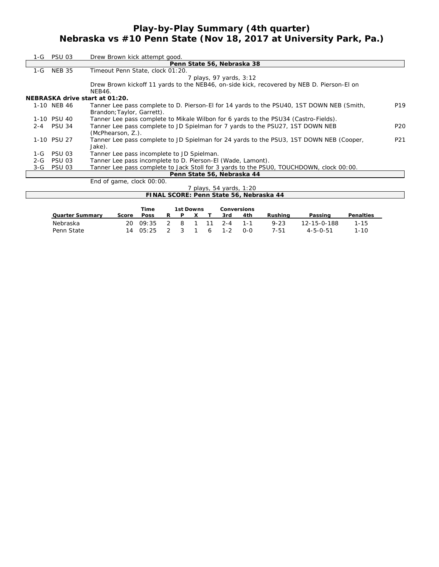## **Play-by-Play Summary (4th quarter) Nebraska vs #10 Penn State (Nov 18, 2017 at University Park, Pa.)**

|         | 1-G PSU 03    | Drew Brown kick attempt good.                                                             |                 |
|---------|---------------|-------------------------------------------------------------------------------------------|-----------------|
|         |               | Penn State 56, Nebraska 38                                                                |                 |
| 1-G     | <b>NEB 35</b> | Timeout Penn State, clock 01:20.                                                          |                 |
|         |               | 7 plays, 97 yards, 3:12                                                                   |                 |
|         |               | Drew Brown kickoff 11 yards to the NEB46, on-side kick, recovered by NEB D. Pierson-El on |                 |
|         |               | <b>NEB46.</b>                                                                             |                 |
|         |               | NEBRASKA drive start at 01:20.                                                            |                 |
|         | 1-10 NEB 46   | Tanner Lee pass complete to D. Pierson-El for 14 yards to the PSU40, 1ST DOWN NEB (Smith, | P <sub>19</sub> |
|         |               | Brandon; Taylor, Garrett).                                                                |                 |
|         | 1-10 PSU 40   | Tanner Lee pass complete to Mikale Wilbon for 6 yards to the PSU34 (Castro-Fields).       |                 |
|         | 2-4 PSU 34    | Tanner Lee pass complete to JD Spielman for 7 yards to the PSU27, 1ST DOWN NEB            | P <sub>20</sub> |
|         |               | (McPhearson, Z.).                                                                         |                 |
|         | 1-10 PSU 27   | Tanner Lee pass complete to JD Spielman for 24 yards to the PSU3, 1ST DOWN NEB (Cooper,   | P21             |
|         |               | Jake).                                                                                    |                 |
| 1-G     | <b>PSU 03</b> | Tanner Lee pass incomplete to JD Spielman.                                                |                 |
| $2 - G$ | <b>PSU 03</b> | Tanner Lee pass incomplete to D. Pierson-EI (Wade, Lamont).                               |                 |
|         | 3-G PSU 03    | Tanner Lee pass complete to Jack Stoll for 3 yards to the PSUO, TOUCHDOWN, clock 00:00.   |                 |
|         |               | Penn State 56, Nebraska 44                                                                |                 |
|         |               | End of game, clock 00:00.                                                                 |                 |

|                        |       |             |    |           |  | <i>Dlays, 54 yards, 1:20</i> " |                    | FINAL SCORE: Penn State 56, Nebraska 44 |             |           |
|------------------------|-------|-------------|----|-----------|--|--------------------------------|--------------------|-----------------------------------------|-------------|-----------|
|                        |       | Time        |    | 1st Downs |  |                                | <b>Conversions</b> |                                         |             |           |
| <b>Quarter Summary</b> | Score | <b>Poss</b> | R. | <b>D</b>  |  | 3rd                            | 4th                | Rushina                                 | Passing     | Penalties |
| Nebraska               | 20    | 09:35       |    |           |  | $2 - 4$                        | - 1 - 1            | $9 - 23$                                | 12-15-0-188 | $1 - 15$  |

Penn State 14 05:25 2 3 1 6 1-2 0-0 7-51 4-5-0-51 1-10